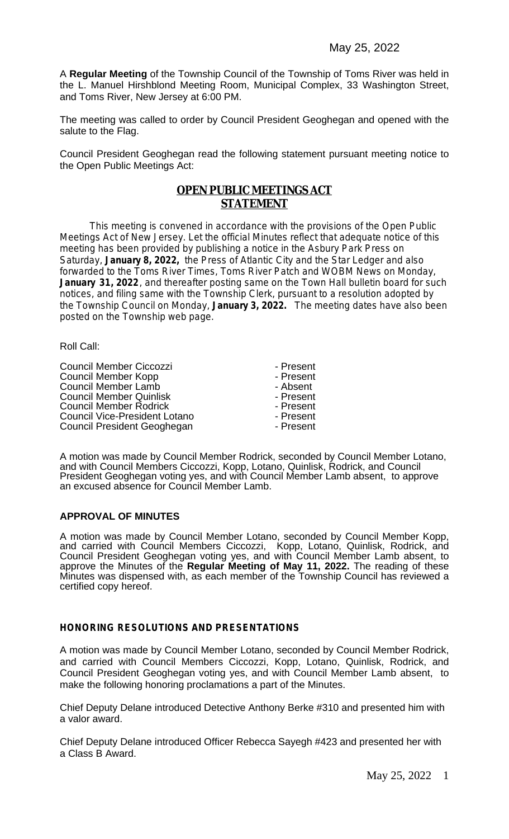A **Regular Meeting** of the Township Council of the Township of Toms River was held in the L. Manuel Hirshblond Meeting Room, Municipal Complex, 33 Washington Street, and Toms River, New Jersey at 6:00 PM.

The meeting was called to order by Council President Geoghegan and opened with the salute to the Flag.

Council President Geoghegan read the following statement pursuant meeting notice to the Open Public Meetings Act:

## **OPEN PUBLIC MEETINGS ACT STATEMENT**

This meeting is convened in accordance with the provisions of the Open Public Meetings Act of New Jersey. Let the official Minutes reflect that adequate notice of this meeting has been provided by publishing a notice in the Asbury Park Press on Saturday, **January 8, 2022,** the Press of Atlantic City and the Star Ledger and also forwarded to the Toms River Times, Toms River Patch and WOBM News on Monday, January 31, 2022, and thereafter posting same on the Town Hall bulletin board for such notices, and filing same with the Township Clerk, pursuant to a resolution adopted by the Township Council on Monday, **January 3, 2022.** The meeting dates have also been posted on the Township web page.

Roll Call:

Council Member Ciccozzi<br>
Council Member Kopp<br>
Present Council Member Kopp<br>
Council Member Lamb<br>
Council Member Lamb<br>
Council Member Lamb Council Member Lamb<br>
Council Member Quinlisk<br>
Council Member Quinlisk<br>
Council Member Quinlisk Council Member Quinlisk<br>Council Member Rodrick<br>Council Member Rodrick<br>Council Member Rodrick Council Member Rodrick<br>
Council Vice-President Lotano<br>
Present Council Vice-President Lotano<br>
Council President Geoghegan<br>
Present Council President Geoghegan

A motion was made by Council Member Rodrick, seconded by Council Member Lotano, and with Council Members Ciccozzi, Kopp, Lotano, Quinlisk, Rodrick, and Council President Geoghegan voting yes, and with Council Member Lamb absent, to approve an excused absence for Council Member Lamb.

#### **APPROVAL OF MINUTES**

A motion was made by Council Member Lotano, seconded by Council Member Kopp, and carried with Council Members Ciccozzi, Kopp, Lotano, Quinlisk, Rodrick, and Council President Geoghegan voting yes, and with Council Member Lamb absent, to approve the Minutes of the **Regular Meeting of May 11, 2022.** The reading of these Minutes was dispensed with, as each member of the Township Council has reviewed a certified copy hereof.

#### **HONORING RESOLUTIONS AND PRESENTATIONS**

A motion was made by Council Member Lotano, seconded by Council Member Rodrick, and carried with Council Members Ciccozzi, Kopp, Lotano, Quinlisk, Rodrick, and Council President Geoghegan voting yes, and with Council Member Lamb absent, to make the following honoring proclamations a part of the Minutes.

Chief Deputy Delane introduced Detective Anthony Berke #310 and presented him with a valor award.

Chief Deputy Delane introduced Officer Rebecca Sayegh #423 and presented her with a Class B Award.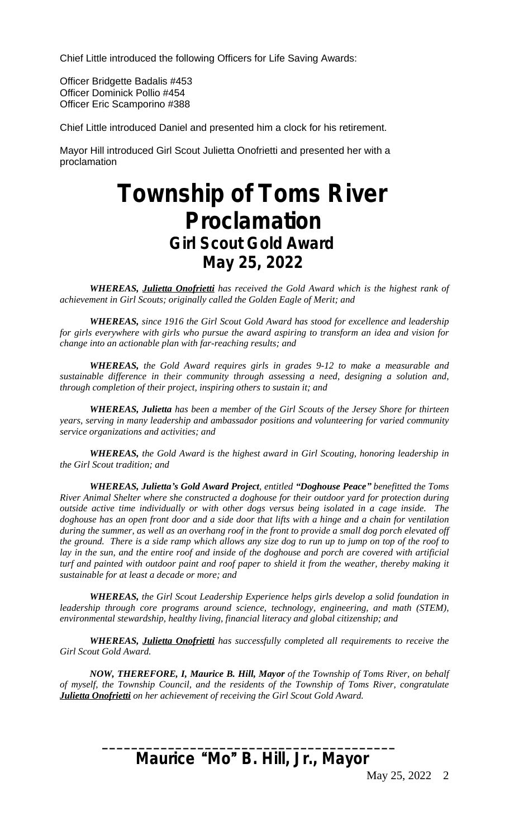Chief Little introduced the following Officers for Life Saving Awards:

Officer Bridgette Badalis #453 Officer Dominick Pollio #454 Officer Eric Scamporino #388

Chief Little introduced Daniel and presented him a clock for his retirement.

Mayor Hill introduced Girl Scout Julietta Onofrietti and presented her with a proclamation

# **Township of Toms River Proclamation** *Girl Scout Gold Award* **May 25, 2022**

*WHEREAS, Julietta Onofrietti has received the Gold Award which is the highest rank of achievement in Girl Scouts; originally called the Golden Eagle of Merit; and* 

*WHEREAS, since 1916 the Girl Scout Gold Award has stood for excellence and leadership for girls everywhere with girls who pursue the award aspiring to transform an idea and vision for change into an actionable plan with far-reaching results; and* 

*WHEREAS, the Gold Award requires girls in grades 9-12 to make a measurable and sustainable difference in their community through assessing a need, designing a solution and, through completion of their project, inspiring others to sustain it; and*

*WHEREAS, Julietta has been a member of the Girl Scouts of the Jersey Shore for thirteen years, serving in many leadership and ambassador positions and volunteering for varied community service organizations and activities; and* 

*WHEREAS, the Gold Award is the highest award in Girl Scouting, honoring leadership in the Girl Scout tradition; and*

*WHEREAS, Julietta's Gold Award Project, entitled "Doghouse Peace" benefitted the Toms River Animal Shelter where she constructed a doghouse for their outdoor yard for protection during outside active time individually or with other dogs versus being isolated in a cage inside. The* doghouse has an open front door and a side door that lifts with a hinge and a chain for ventilation during the summer, as well as an overhang roof in the front to provide a small dog porch elevated off the ground. There is a side ramp which allows any size dog to run up to jump on top of the roof to lay in the sun, and the entire roof and inside of the doghouse and porch are covered with artificial turf and painted with outdoor paint and roof paper to shield it from the weather, thereby making it *sustainable for at least a decade or more; and*

*WHEREAS, the Girl Scout Leadership Experience helps girls develop a solid foundation in leadership through core programs around science, technology, engineering, and math (STEM), environmental stewardship, healthy living, financial literacy and global citizenship; and*

*WHEREAS, Julietta Onofrietti has successfully completed all requirements to receive the Girl Scout Gold Award.*

*NOW, THEREFORE, I, Maurice B. Hill, Mayor of the Township of Toms River, on behalf of myself, the Township Council, and the residents of the Township of Toms River, congratulate Julietta Onofrietti on her achievement of receiving the Girl Scout Gold Award.*

## **Maurice** "**Mo**" **B. Hill, Jr., Mayor**

**\_\_\_\_\_\_\_\_\_\_\_\_\_\_\_\_\_\_\_\_\_\_\_\_\_\_\_\_\_\_\_\_\_\_\_\_\_\_\_\_**

May 25, 2022 2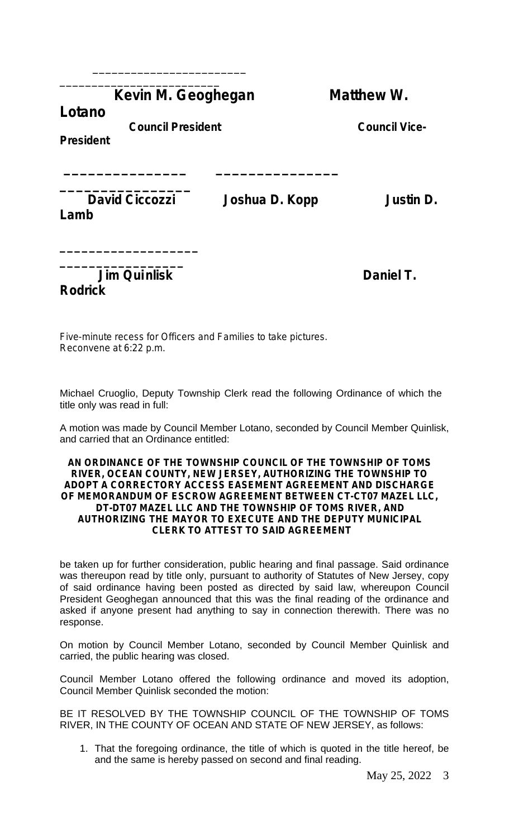## **Kevin M. Geoghegan Matthew W.**

 **\_\_\_\_\_\_\_\_\_\_\_\_\_\_\_ \_\_\_\_\_\_\_\_\_\_\_\_\_\_\_** 

**Lotano**

 **Council President Council Vice-**

\_\_\_\_\_\_\_\_\_\_\_\_\_\_\_\_\_\_\_\_\_\_\_\_ \_\_\_\_\_\_\_\_\_\_\_\_\_\_\_\_\_\_\_\_\_\_\_\_\_

**President**

**Lamb** 

**\_\_\_\_\_\_\_\_\_\_\_\_\_\_\_\_\_\_\_**

**\_\_\_\_\_\_\_\_\_\_\_\_\_\_\_\_**

**David Ciccozzi** Joshua D. Kopp Justin D.

**\_\_\_\_\_\_\_\_\_\_\_\_\_\_\_\_\_** *Daniel T.* **Daniel T. Rodrick**

Five-minute recess for Officers and Families to take pictures. Reconvene at 6:22 p.m.

Michael Cruoglio, Deputy Township Clerk read the following Ordinance of which the title only was read in full:

A motion was made by Council Member Lotano, seconded by Council Member Quinlisk, and carried that an Ordinance entitled:

#### **AN ORDINANCE OF THE TOWNSHIP COUNCIL OF THE TOWNSHIP OF TOMS RIVER, OCEAN COUNTY, NEW JERSEY, AUTHORIZING THE TOWNSHIP TO ADOPT A CORRECTORY ACCESS EASEMENT AGREEMENT AND DISCHARGE OF MEMORANDUM OF ESCROW AGREEMENT BETWEEN CT-CT07 MAZEL LLC, DT-DT07 MAZEL LLC AND THE TOWNSHIP OF TOMS RIVER, AND AUTHORIZING THE MAYOR TO EXECUTE AND THE DEPUTY MUNICIPAL CLERK TO ATTEST TO SAID AGREEMENT**

be taken up for further consideration, public hearing and final passage. Said ordinance was thereupon read by title only, pursuant to authority of Statutes of New Jersey, copy of said ordinance having been posted as directed by said law, whereupon Council President Geoghegan announced that this was the final reading of the ordinance and asked if anyone present had anything to say in connection therewith. There was no response.

On motion by Council Member Lotano, seconded by Council Member Quinlisk and carried, the public hearing was closed.

Council Member Lotano offered the following ordinance and moved its adoption, Council Member Quinlisk seconded the motion:

BE IT RESOLVED BY THE TOWNSHIP COUNCIL OF THE TOWNSHIP OF TOMS RIVER, IN THE COUNTY OF OCEAN AND STATE OF NEW JERSEY, as follows:

1. That the foregoing ordinance, the title of which is quoted in the title hereof, be and the same is hereby passed on second and final reading.

May 25, 2022 3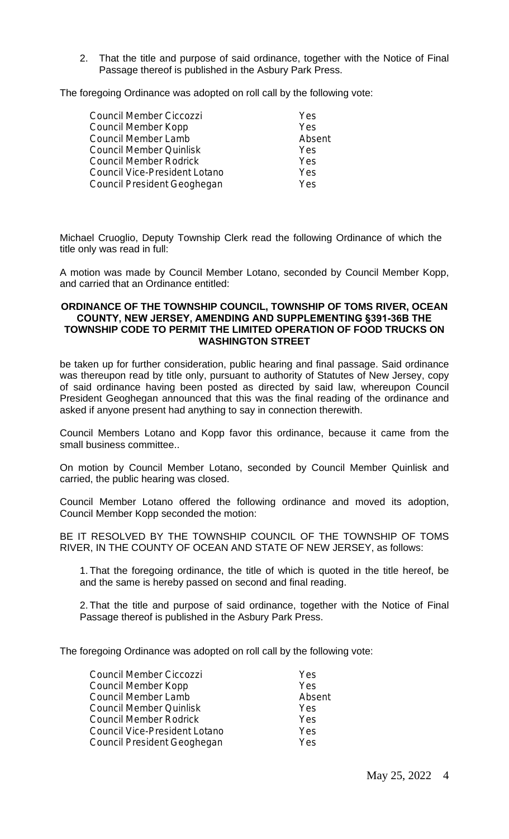2. That the title and purpose of said ordinance, together with the Notice of Final Passage thereof is published in the Asbury Park Press.

The foregoing Ordinance was adopted on roll call by the following vote:

| Council Member Ciccozzi       | Yes        |
|-------------------------------|------------|
| Council Member Kopp           | Yes        |
| Council Member Lamb           | Absent     |
| Council Member Quinlisk       | Yes        |
| Council Member Rodrick        | Yes        |
| Council Vice-President Lotano | <b>Yes</b> |
| Council President Geoghegan   | Yes        |
|                               |            |

Michael Cruoglio, Deputy Township Clerk read the following Ordinance of which the title only was read in full:

A motion was made by Council Member Lotano, seconded by Council Member Kopp, and carried that an Ordinance entitled:

#### **ORDINANCE OF THE TOWNSHIP COUNCIL, TOWNSHIP OF TOMS RIVER, OCEAN COUNTY, NEW JERSEY, AMENDING AND SUPPLEMENTING §391-36B THE TOWNSHIP CODE TO PERMIT THE LIMITED OPERATION OF FOOD TRUCKS ON WASHINGTON STREET**

be taken up for further consideration, public hearing and final passage. Said ordinance was thereupon read by title only, pursuant to authority of Statutes of New Jersey, copy of said ordinance having been posted as directed by said law, whereupon Council President Geoghegan announced that this was the final reading of the ordinance and asked if anyone present had anything to say in connection therewith.

Council Members Lotano and Kopp favor this ordinance, because it came from the small business committee..

On motion by Council Member Lotano, seconded by Council Member Quinlisk and carried, the public hearing was closed.

Council Member Lotano offered the following ordinance and moved its adoption, Council Member Kopp seconded the motion:

BE IT RESOLVED BY THE TOWNSHIP COUNCIL OF THE TOWNSHIP OF TOMS RIVER, IN THE COUNTY OF OCEAN AND STATE OF NEW JERSEY, as follows:

1. That the foregoing ordinance, the title of which is quoted in the title hereof, be and the same is hereby passed on second and final reading.

2. That the title and purpose of said ordinance, together with the Notice of Final Passage thereof is published in the Asbury Park Press.

The foregoing Ordinance was adopted on roll call by the following vote:

| Council Member Ciccozzi       | Yes    |
|-------------------------------|--------|
| Council Member Kopp           | Yes    |
| Council Member Lamb           | Absent |
| Council Member Quinlisk       | Yes    |
| Council Member Rodrick        | Yes    |
| Council Vice-President Lotano | Yes    |
| Council President Geoghegan   | Yes    |
|                               |        |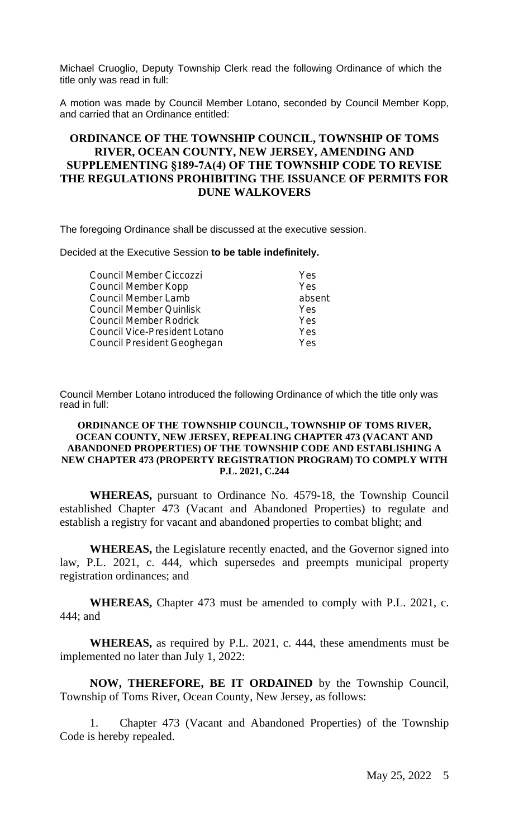Michael Cruoglio, Deputy Township Clerk read the following Ordinance of which the title only was read in full:

A motion was made by Council Member Lotano, seconded by Council Member Kopp, and carried that an Ordinance entitled:

## **ORDINANCE OF THE TOWNSHIP COUNCIL, TOWNSHIP OF TOMS RIVER, OCEAN COUNTY, NEW JERSEY, AMENDING AND SUPPLEMENTING §189-7A(4) OF THE TOWNSHIP CODE TO REVISE THE REGULATIONS PROHIBITING THE ISSUANCE OF PERMITS FOR DUNE WALKOVERS**

The foregoing Ordinance shall be discussed at the executive session.

Decided at the Executive Session **to be table indefinitely.**

| Council Member Ciccozzi       | Yes    |
|-------------------------------|--------|
| Council Member Kopp           | Yes    |
| Council Member Lamb           | absent |
| Council Member Quinlisk       | Yes    |
| Council Member Rodrick        | Yes    |
| Council Vice-President Lotano | Yes    |
| Council President Geoghegan   | Yes    |
|                               |        |

Council Member Lotano introduced the following Ordinance of which the title only was read in full:

#### **ORDINANCE OF THE TOWNSHIP COUNCIL, TOWNSHIP OF TOMS RIVER, OCEAN COUNTY, NEW JERSEY, REPEALING CHAPTER 473 (VACANT AND ABANDONED PROPERTIES) OF THE TOWNSHIP CODE AND ESTABLISHING A NEW CHAPTER 473 (PROPERTY REGISTRATION PROGRAM) TO COMPLY WITH P.L. 2021, C.244**

**WHEREAS,** pursuant to Ordinance No. 4579-18, the Township Council established Chapter 473 (Vacant and Abandoned Properties) to regulate and establish a registry for vacant and abandoned properties to combat blight; and

**WHEREAS,** the Legislature recently enacted, and the Governor signed into law, P.L. 2021, c. 444, which supersedes and preempts municipal property registration ordinances; and

**WHEREAS,** Chapter 473 must be amended to comply with P.L. 2021, c. 444; and

**WHEREAS,** as required by P.L. 2021, c. 444, these amendments must be implemented no later than July 1, 2022:

**NOW, THEREFORE, BE IT ORDAINED** by the Township Council, Township of Toms River, Ocean County, New Jersey, as follows:

1. Chapter 473 (Vacant and Abandoned Properties) of the Township Code is hereby repealed.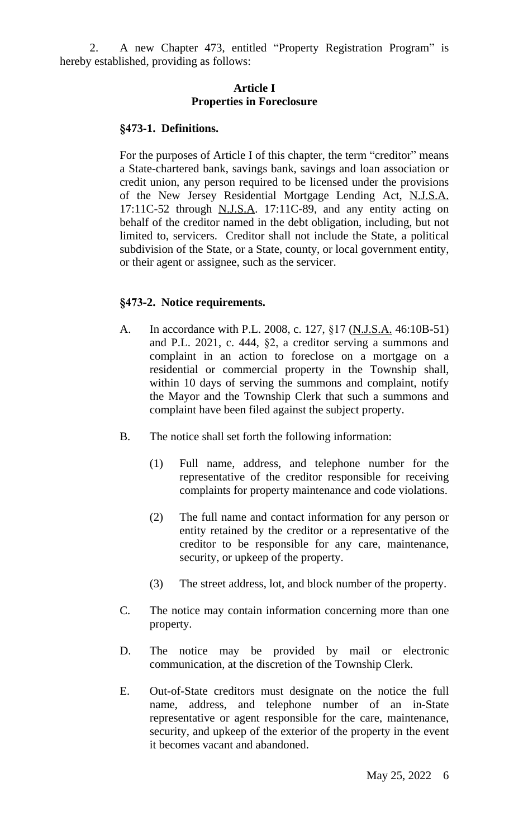2. A new Chapter 473, entitled "Property Registration Program" is hereby established, providing as follows:

### **Article I Properties in Foreclosure**

#### **§473-1. Definitions.**

For the purposes of Article I of this chapter, the term "creditor" means a State-chartered bank, savings bank, savings and loan association or credit union, any person required to be licensed under the provisions of the New Jersey Residential Mortgage Lending Act, N.J.S.A. 17:11C-52 through N.J.S.A. 17:11C-89, and any entity acting on behalf of the creditor named in the debt obligation, including, but not limited to, servicers. Creditor shall not include the State, a political subdivision of the State, or a State, county, or local government entity, or their agent or assignee, such as the servicer.

#### **§473-2. Notice requirements.**

- A. In accordance with P.L. 2008, c. 127, §17 (N.J.S.A. 46:10B-51) and P.L. 2021, c. 444, §2, a creditor serving a summons and complaint in an action to foreclose on a mortgage on a residential or commercial property in the Township shall, within 10 days of serving the summons and complaint, notify the Mayor and the Township Clerk that such a summons and complaint have been filed against the subject property.
- B. The notice shall set forth the following information:
	- (1) Full name, address, and telephone number for the representative of the creditor responsible for receiving complaints for property maintenance and code violations.
	- (2) The full name and contact information for any person or entity retained by the creditor or a representative of the creditor to be responsible for any care, maintenance, security, or upkeep of the property.
	- (3) The street address, lot, and block number of the property.
- C. The notice may contain information concerning more than one property.
- D. The notice may be provided by mail or electronic communication, at the discretion of the Township Clerk.
- E. Out-of-State creditors must designate on the notice the full name, address, and telephone number of an in-State representative or agent responsible for the care, maintenance, security, and upkeep of the exterior of the property in the event it becomes vacant and abandoned.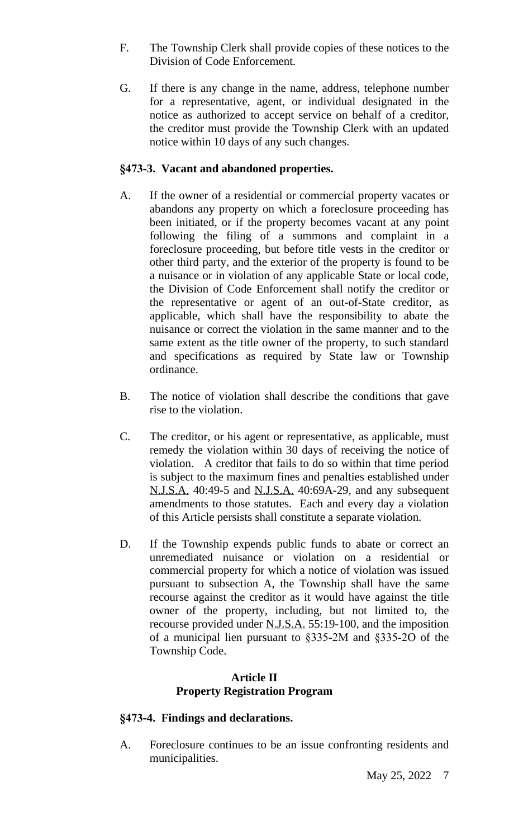- F. The Township Clerk shall provide copies of these notices to the Division of Code Enforcement.
- G. If there is any change in the name, address, telephone number for a representative, agent, or individual designated in the notice as authorized to accept service on behalf of a creditor, the creditor must provide the Township Clerk with an updated notice within 10 days of any such changes.

## **§473-3. Vacant and abandoned properties.**

- A. If the owner of a residential or commercial property vacates or abandons any property on which a foreclosure proceeding has been initiated, or if the property becomes vacant at any point following the filing of a summons and complaint in a foreclosure proceeding, but before title vests in the creditor or other third party, and the exterior of the property is found to be a nuisance or in violation of any applicable State or local code, the Division of Code Enforcement shall notify the creditor or the representative or agent of an out-of-State creditor, as applicable, which shall have the responsibility to abate the nuisance or correct the violation in the same manner and to the same extent as the title owner of the property, to such standard and specifications as required by State law or Township ordinance.
- B. The notice of violation shall describe the conditions that gave rise to the violation.
- C. The creditor, or his agent or representative, as applicable, must remedy the violation within 30 days of receiving the notice of violation. A creditor that fails to do so within that time period is subject to the maximum fines and penalties established under N.J.S.A. 40:49-5 and N.J.S.A. 40:69A-29, and any subsequent amendments to those statutes. Each and every day a violation of this Article persists shall constitute a separate violation.
- D. If the Township expends public funds to abate or correct an unremediated nuisance or violation on a residential or commercial property for which a notice of violation was issued pursuant to subsection A, the Township shall have the same recourse against the creditor as it would have against the title owner of the property, including, but not limited to, the recourse provided under N.J.S.A. 55:19-100, and the imposition of a municipal lien pursuant to §335-2M and §335-2O of the Township Code.

## **Article II Property Registration Program**

## **§473-4. Findings and declarations.**

A. Foreclosure continues to be an issue confronting residents and municipalities.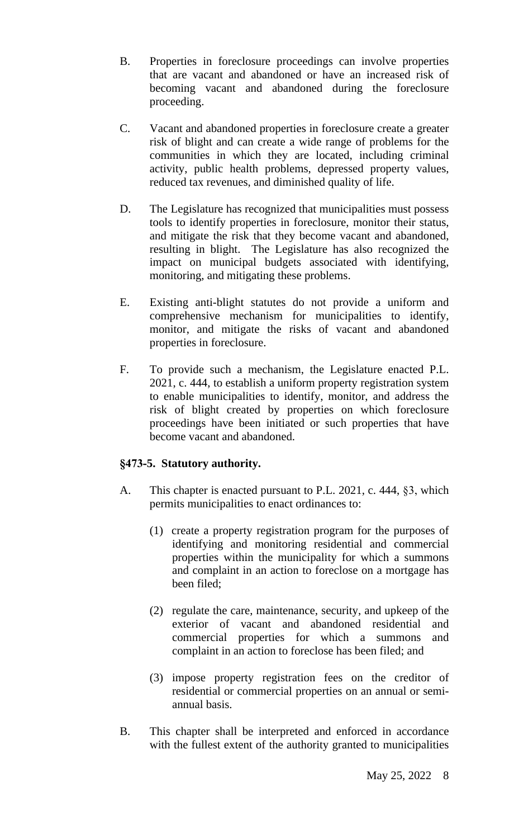- B. Properties in foreclosure proceedings can involve properties that are vacant and abandoned or have an increased risk of becoming vacant and abandoned during the foreclosure proceeding.
- C. Vacant and abandoned properties in foreclosure create a greater risk of blight and can create a wide range of problems for the communities in which they are located, including criminal activity, public health problems, depressed property values, reduced tax revenues, and diminished quality of life.
- D. The Legislature has recognized that municipalities must possess tools to identify properties in foreclosure, monitor their status, and mitigate the risk that they become vacant and abandoned, resulting in blight. The Legislature has also recognized the impact on municipal budgets associated with identifying, monitoring, and mitigating these problems.
- E. Existing anti-blight statutes do not provide a uniform and comprehensive mechanism for municipalities to identify, monitor, and mitigate the risks of vacant and abandoned properties in foreclosure.
- F. To provide such a mechanism, the Legislature enacted P.L. 2021, c. 444, to establish a uniform property registration system to enable municipalities to identify, monitor, and address the risk of blight created by properties on which foreclosure proceedings have been initiated or such properties that have become vacant and abandoned.

## **§473-5. Statutory authority.**

- A. This chapter is enacted pursuant to P.L. 2021, c. 444, §3, which permits municipalities to enact ordinances to:
	- (1) create a property registration program for the purposes of identifying and monitoring residential and commercial properties within the municipality for which a summons and complaint in an action to foreclose on a mortgage has been filed;
	- (2) regulate the care, maintenance, security, and upkeep of the exterior of vacant and abandoned residential and commercial properties for which a summons and complaint in an action to foreclose has been filed; and
	- (3) impose property registration fees on the creditor of residential or commercial properties on an annual or semiannual basis.
- B. This chapter shall be interpreted and enforced in accordance with the fullest extent of the authority granted to municipalities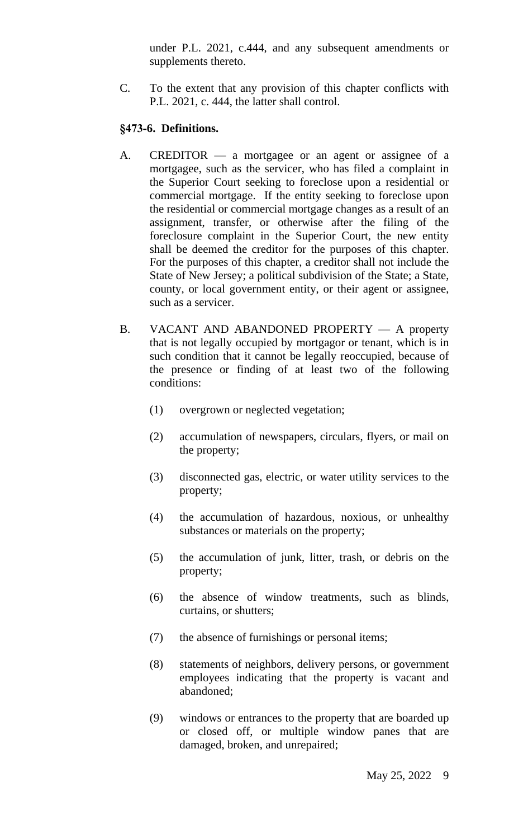under P.L. 2021, c.444, and any subsequent amendments or supplements thereto.

C. To the extent that any provision of this chapter conflicts with P.L. 2021, c. 444, the latter shall control.

## **§473-6. Definitions.**

- A. CREDITOR a mortgagee or an agent or assignee of a mortgagee, such as the servicer, who has filed a complaint in the Superior Court seeking to foreclose upon a residential or commercial mortgage. If the entity seeking to foreclose upon the residential or commercial mortgage changes as a result of an assignment, transfer, or otherwise after the filing of the foreclosure complaint in the Superior Court, the new entity shall be deemed the creditor for the purposes of this chapter. For the purposes of this chapter, a creditor shall not include the State of New Jersey; a political subdivision of the State; a State, county, or local government entity, or their agent or assignee, such as a servicer.
- B. VACANT AND ABANDONED PROPERTY A property that is not legally occupied by mortgagor or tenant, which is in such condition that it cannot be legally reoccupied, because of the presence or finding of at least two of the following conditions:
	- (1) overgrown or neglected vegetation;
	- (2) accumulation of newspapers, circulars, flyers, or mail on the property;
	- (3) disconnected gas, electric, or water utility services to the property;
	- (4) the accumulation of hazardous, noxious, or unhealthy substances or materials on the property;
	- (5) the accumulation of junk, litter, trash, or debris on the property;
	- (6) the absence of window treatments, such as blinds, curtains, or shutters;
	- (7) the absence of furnishings or personal items;
	- (8) statements of neighbors, delivery persons, or government employees indicating that the property is vacant and abandoned;
	- (9) windows or entrances to the property that are boarded up or closed off, or multiple window panes that are damaged, broken, and unrepaired;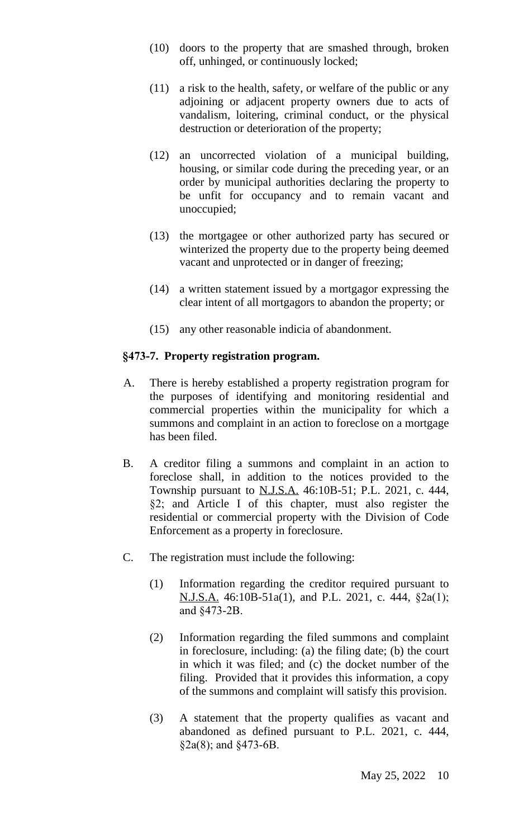- (10) doors to the property that are smashed through, broken off, unhinged, or continuously locked;
- (11) a risk to the health, safety, or welfare of the public or any adjoining or adjacent property owners due to acts of vandalism, loitering, criminal conduct, or the physical destruction or deterioration of the property;
- (12) an uncorrected violation of a municipal building, housing, or similar code during the preceding year, or an order by municipal authorities declaring the property to be unfit for occupancy and to remain vacant and unoccupied;
- (13) the mortgagee or other authorized party has secured or winterized the property due to the property being deemed vacant and unprotected or in danger of freezing;
- (14) a written statement issued by a mortgagor expressing the clear intent of all mortgagors to abandon the property; or
- (15) any other reasonable indicia of abandonment.

## **§473-7. Property registration program.**

- A. There is hereby established a property registration program for the purposes of identifying and monitoring residential and commercial properties within the municipality for which a summons and complaint in an action to foreclose on a mortgage has been filed.
- B. A creditor filing a summons and complaint in an action to foreclose shall, in addition to the notices provided to the Township pursuant to N.J.S.A. 46:10B-51; P.L. 2021, c. 444, §2; and Article I of this chapter, must also register the residential or commercial property with the Division of Code Enforcement as a property in foreclosure.
- C. The registration must include the following:
	- (1) Information regarding the creditor required pursuant to N.J.S.A. 46:10B-51a(1), and P.L. 2021, c. 444, §2a(1); and §473-2B.
	- (2) Information regarding the filed summons and complaint in foreclosure, including: (a) the filing date; (b) the court in which it was filed; and (c) the docket number of the filing. Provided that it provides this information, a copy of the summons and complaint will satisfy this provision.
	- (3) A statement that the property qualifies as vacant and abandoned as defined pursuant to P.L. 2021, c. 444, §2a(8); and §473-6B.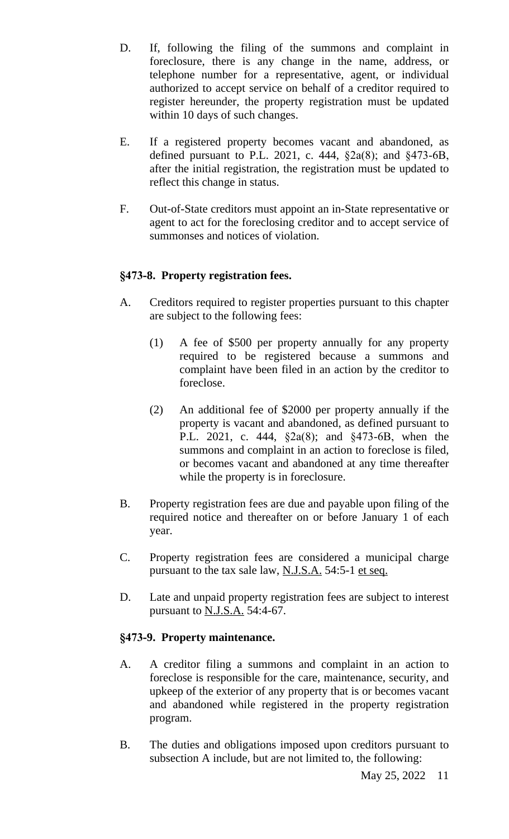- D. If, following the filing of the summons and complaint in foreclosure, there is any change in the name, address, or telephone number for a representative, agent, or individual authorized to accept service on behalf of a creditor required to register hereunder, the property registration must be updated within 10 days of such changes.
- E. If a registered property becomes vacant and abandoned, as defined pursuant to P.L. 2021, c. 444, §2a(8); and §473-6B, after the initial registration, the registration must be updated to reflect this change in status.
- F. Out-of-State creditors must appoint an in-State representative or agent to act for the foreclosing creditor and to accept service of summonses and notices of violation.

## **§473-8. Property registration fees.**

- A. Creditors required to register properties pursuant to this chapter are subject to the following fees:
	- (1) A fee of \$500 per property annually for any property required to be registered because a summons and complaint have been filed in an action by the creditor to foreclose.
	- (2) An additional fee of \$2000 per property annually if the property is vacant and abandoned, as defined pursuant to P.L. 2021, c. 444, §2a(8); and §473-6B, when the summons and complaint in an action to foreclose is filed, or becomes vacant and abandoned at any time thereafter while the property is in foreclosure.
- B. Property registration fees are due and payable upon filing of the required notice and thereafter on or before January 1 of each year.
- C. Property registration fees are considered a municipal charge pursuant to the tax sale law, <u>N.J.S.A.</u> 54:5-1 et seq.
- D. Late and unpaid property registration fees are subject to interest pursuant to N.J.S.A. 54:4-67.

## **§473-9. Property maintenance.**

- A. A creditor filing a summons and complaint in an action to foreclose is responsible for the care, maintenance, security, and upkeep of the exterior of any property that is or becomes vacant and abandoned while registered in the property registration program.
- B. The duties and obligations imposed upon creditors pursuant to subsection A include, but are not limited to, the following: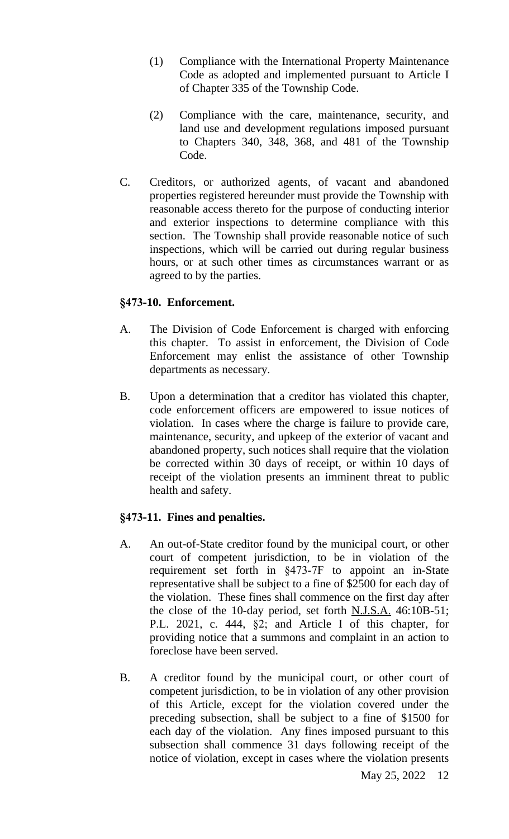- (1) Compliance with the International Property Maintenance Code as adopted and implemented pursuant to Article I of Chapter 335 of the Township Code.
- (2) Compliance with the care, maintenance, security, and land use and development regulations imposed pursuant to Chapters 340, 348, 368, and 481 of the Township Code.
- C. Creditors, or authorized agents, of vacant and abandoned properties registered hereunder must provide the Township with reasonable access thereto for the purpose of conducting interior and exterior inspections to determine compliance with this section. The Township shall provide reasonable notice of such inspections, which will be carried out during regular business hours, or at such other times as circumstances warrant or as agreed to by the parties.

## **§473-10. Enforcement.**

- A. The Division of Code Enforcement is charged with enforcing this chapter. To assist in enforcement, the Division of Code Enforcement may enlist the assistance of other Township departments as necessary.
- B. Upon a determination that a creditor has violated this chapter, code enforcement officers are empowered to issue notices of violation. In cases where the charge is failure to provide care, maintenance, security, and upkeep of the exterior of vacant and abandoned property, such notices shall require that the violation be corrected within 30 days of receipt, or within 10 days of receipt of the violation presents an imminent threat to public health and safety.

## **§473-11. Fines and penalties.**

- A. An out-of-State creditor found by the municipal court, or other court of competent jurisdiction, to be in violation of the requirement set forth in §473-7F to appoint an in-State representative shall be subject to a fine of \$2500 for each day of the violation. These fines shall commence on the first day after the close of the 10-day period, set forth N.J.S.A. 46:10B-51; P.L. 2021, c. 444, §2; and Article I of this chapter, for providing notice that a summons and complaint in an action to foreclose have been served.
- B. A creditor found by the municipal court, or other court of competent jurisdiction, to be in violation of any other provision of this Article, except for the violation covered under the preceding subsection, shall be subject to a fine of \$1500 for each day of the violation. Any fines imposed pursuant to this subsection shall commence 31 days following receipt of the notice of violation, except in cases where the violation presents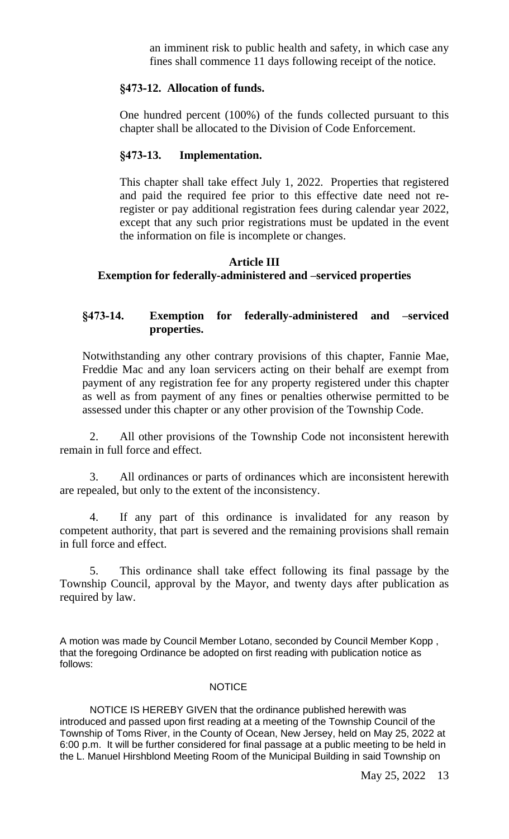an imminent risk to public health and safety, in which case any fines shall commence 11 days following receipt of the notice.

## **§473-12. Allocation of funds.**

One hundred percent (100%) of the funds collected pursuant to this chapter shall be allocated to the Division of Code Enforcement.

## **§473-13. Implementation.**

This chapter shall take effect July 1, 2022. Properties that registered and paid the required fee prior to this effective date need not reregister or pay additional registration fees during calendar year 2022, except that any such prior registrations must be updated in the event the information on file is incomplete or changes.

## **Article III Exemption for federally-administered and –serviced properties**

## **§473-14. Exemption for federally-administered and –serviced properties.**

Notwithstanding any other contrary provisions of this chapter, Fannie Mae, Freddie Mac and any loan servicers acting on their behalf are exempt from payment of any registration fee for any property registered under this chapter as well as from payment of any fines or penalties otherwise permitted to be assessed under this chapter or any other provision of the Township Code.

2. All other provisions of the Township Code not inconsistent herewith remain in full force and effect.

3. All ordinances or parts of ordinances which are inconsistent herewith are repealed, but only to the extent of the inconsistency.

4. If any part of this ordinance is invalidated for any reason by competent authority, that part is severed and the remaining provisions shall remain in full force and effect.

5. This ordinance shall take effect following its final passage by the Township Council, approval by the Mayor, and twenty days after publication as required by law.

A motion was made by Council Member Lotano, seconded by Council Member Kopp , that the foregoing Ordinance be adopted on first reading with publication notice as follows:

#### **NOTICE**

NOTICE IS HEREBY GIVEN that the ordinance published herewith was introduced and passed upon first reading at a meeting of the Township Council of the Township of Toms River, in the County of Ocean, New Jersey, held on May 25, 2022 at 6:00 p.m. It will be further considered for final passage at a public meeting to be held in the L. Manuel Hirshblond Meeting Room of the Municipal Building in said Township on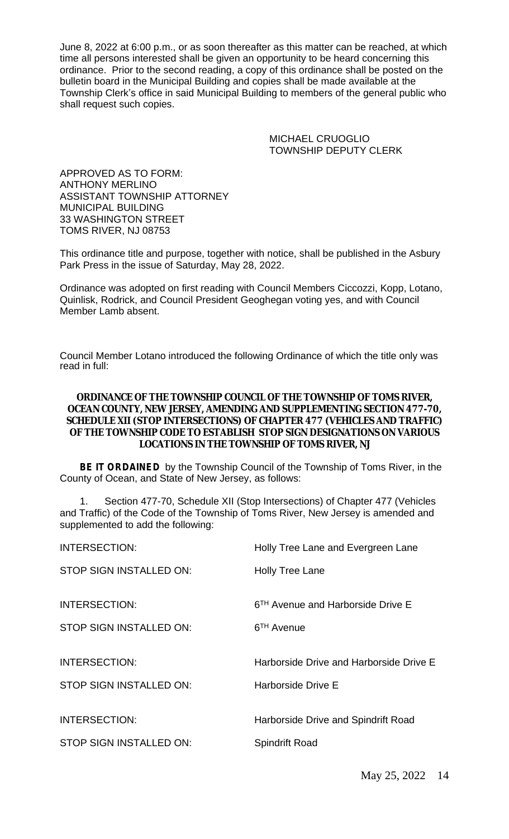June 8, 2022 at 6:00 p.m., or as soon thereafter as this matter can be reached, at which time all persons interested shall be given an opportunity to be heard concerning this ordinance. Prior to the second reading, a copy of this ordinance shall be posted on the bulletin board in the Municipal Building and copies shall be made available at the Township Clerk's office in said Municipal Building to members of the general public who shall request such copies.

> MICHAEL CRUOGLIO TOWNSHIP DEPUTY CLERK

APPROVED AS TO FORM: ANTHONY MERLINO ASSISTANT TOWNSHIP ATTORNEY MUNICIPAL BUILDING 33 WASHINGTON STREET TOMS RIVER, NJ 08753

This ordinance title and purpose, together with notice, shall be published in the Asbury Park Press in the issue of Saturday, May 28, 2022.

Ordinance was adopted on first reading with Council Members Ciccozzi, Kopp, Lotano, Quinlisk, Rodrick, and Council President Geoghegan voting yes, and with Council Member Lamb absent.

Council Member Lotano introduced the following Ordinance of which the title only was read in full:

#### **ORDINANCE OF THE TOWNSHIP COUNCIL OF THE TOWNSHIP OF TOMS RIVER, OCEAN COUNTY, NEW JERSEY, AMENDING AND SUPPLEMENTING SECTION 477-70, SCHEDULE XII (STOP INTERSECTIONS) OF CHAPTER 477 (VEHICLES AND TRAFFIC) OF THE TOWNSHIP CODE TO ESTABLISH STOP SIGN DESIGNATIONS ON VARIOUS LOCATIONS IN THE TOWNSHIP OF TOMS RIVER, NJ**

**BE IT ORDAINED** by the Township Council of the Township of Toms River, in the County of Ocean, and State of New Jersey, as follows:

1. Section 477-70, Schedule XII (Stop Intersections) of Chapter 477 (Vehicles and Traffic) of the Code of the Township of Toms River, New Jersey is amended and supplemented to add the following:

| <b>INTERSECTION:</b>    | Holly Tree Lane and Evergreen Lane            |
|-------------------------|-----------------------------------------------|
| STOP SIGN INSTALLED ON: | Holly Tree Lane                               |
| <b>INTERSECTION:</b>    | 6 <sup>TH</sup> Avenue and Harborside Drive E |
| STOP SIGN INSTALLED ON: | 6 <sup>TH</sup> Avenue                        |
| <b>INTERSECTION:</b>    | Harborside Drive and Harborside Drive E       |
| STOP SIGN INSTALLED ON: | Harborside Drive E                            |
| <b>INTERSECTION:</b>    | Harborside Drive and Spindrift Road           |
| STOP SIGN INSTALLED ON: | <b>Spindrift Road</b>                         |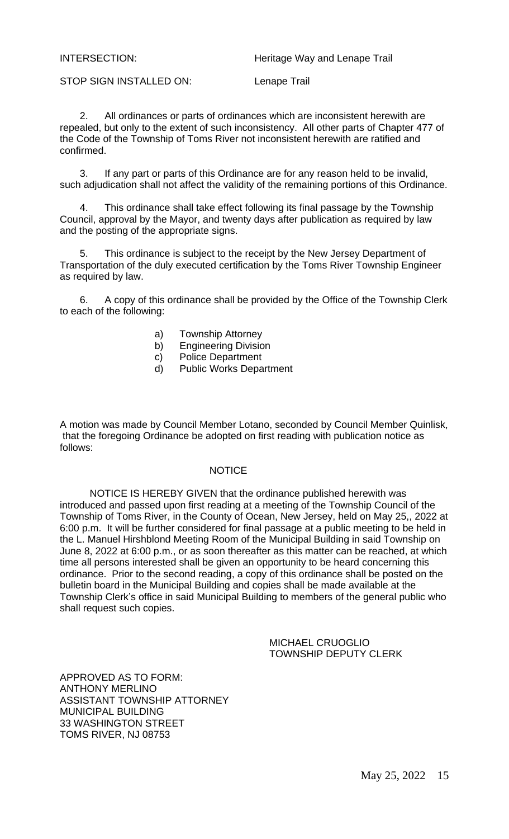STOP SIGN INSTALLED ON: Lenape Trail

2. All ordinances or parts of ordinances which are inconsistent herewith are repealed, but only to the extent of such inconsistency. All other parts of Chapter 477 of the Code of the Township of Toms River not inconsistent herewith are ratified and confirmed.

3. If any part or parts of this Ordinance are for any reason held to be invalid, such adjudication shall not affect the validity of the remaining portions of this Ordinance.

4. This ordinance shall take effect following its final passage by the Township Council, approval by the Mayor, and twenty days after publication as required by law and the posting of the appropriate signs.

5. This ordinance is subject to the receipt by the New Jersey Department of Transportation of the duly executed certification by the Toms River Township Engineer as required by law.

6. A copy of this ordinance shall be provided by the Office of the Township Clerk to each of the following:

- a) Township Attorney
- b) Engineering Division
- c) Police Department
- d) Public Works Department

A motion was made by Council Member Lotano, seconded by Council Member Quinlisk, that the foregoing Ordinance be adopted on first reading with publication notice as follows:

#### **NOTICE**

NOTICE IS HEREBY GIVEN that the ordinance published herewith was introduced and passed upon first reading at a meeting of the Township Council of the Township of Toms River, in the County of Ocean, New Jersey, held on May 25,, 2022 at 6:00 p.m. It will be further considered for final passage at a public meeting to be held in the L. Manuel Hirshblond Meeting Room of the Municipal Building in said Township on June 8, 2022 at 6:00 p.m., or as soon thereafter as this matter can be reached, at which time all persons interested shall be given an opportunity to be heard concerning this ordinance. Prior to the second reading, a copy of this ordinance shall be posted on the bulletin board in the Municipal Building and copies shall be made available at the Township Clerk's office in said Municipal Building to members of the general public who shall request such copies.

> MICHAEL CRUOGLIO TOWNSHIP DEPUTY CLERK

APPROVED AS TO FORM: ANTHONY MERLINO ASSISTANT TOWNSHIP ATTORNEY MUNICIPAL BUILDING 33 WASHINGTON STREET TOMS RIVER, NJ 08753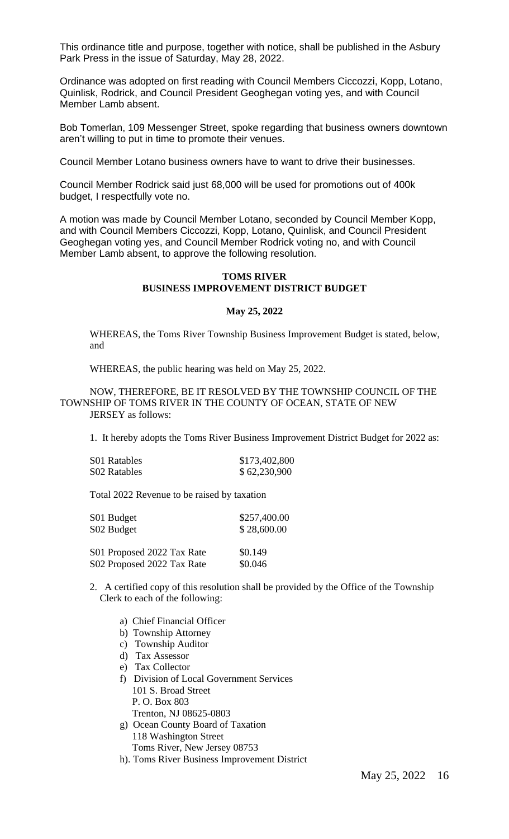This ordinance title and purpose, together with notice, shall be published in the Asbury Park Press in the issue of Saturday, May 28, 2022.

Ordinance was adopted on first reading with Council Members Ciccozzi, Kopp, Lotano, Quinlisk, Rodrick, and Council President Geoghegan voting yes, and with Council Member Lamb absent.

Bob Tomerlan, 109 Messenger Street, spoke regarding that business owners downtown aren't willing to put in time to promote their venues.

Council Member Lotano business owners have to want to drive their businesses.

Council Member Rodrick said just 68,000 will be used for promotions out of 400k budget, I respectfully vote no.

A motion was made by Council Member Lotano, seconded by Council Member Kopp, and with Council Members Ciccozzi, Kopp, Lotano, Quinlisk, and Council President Geoghegan voting yes, and Council Member Rodrick voting no, and with Council Member Lamb absent, to approve the following resolution.

#### **TOMS RIVER BUSINESS IMPROVEMENT DISTRICT BUDGET**

#### **May 25, 2022**

WHEREAS, the Toms River Township Business Improvement Budget is stated, below, and

WHEREAS, the public hearing was held on May 25, 2022.

#### NOW, THEREFORE, BE IT RESOLVED BY THE TOWNSHIP COUNCIL OF THE TOWNSHIP OF TOMS RIVER IN THE COUNTY OF OCEAN, STATE OF NEW JERSEY as follows:

1. It hereby adopts the Toms River Business Improvement District Budget for 2022 as:

| S01 Ratables | \$173,402,800 |
|--------------|---------------|
| S02 Ratables | \$62,230,900  |

Total 2022 Revenue to be raised by taxation

| S01 Budget | \$257,400.00 |
|------------|--------------|
| S02 Budget | \$28,600.00  |
|            |              |

| S01 Proposed 2022 Tax Rate | \$0.149 |
|----------------------------|---------|
| S02 Proposed 2022 Tax Rate | \$0.046 |

- 2. A certified copy of this resolution shall be provided by the Office of the Township Clerk to each of the following:
	- a) Chief Financial Officer
	- b) Township Attorney
	- c) Township Auditor
	- d) Tax Assessor
	- e) Tax Collector
	- f) Division of Local Government Services 101 S. Broad Street P. O. Box 803 Trenton, NJ 08625-0803
	- g) Ocean County Board of Taxation 118 Washington Street Toms River, New Jersey 08753
	- h). Toms River Business Improvement District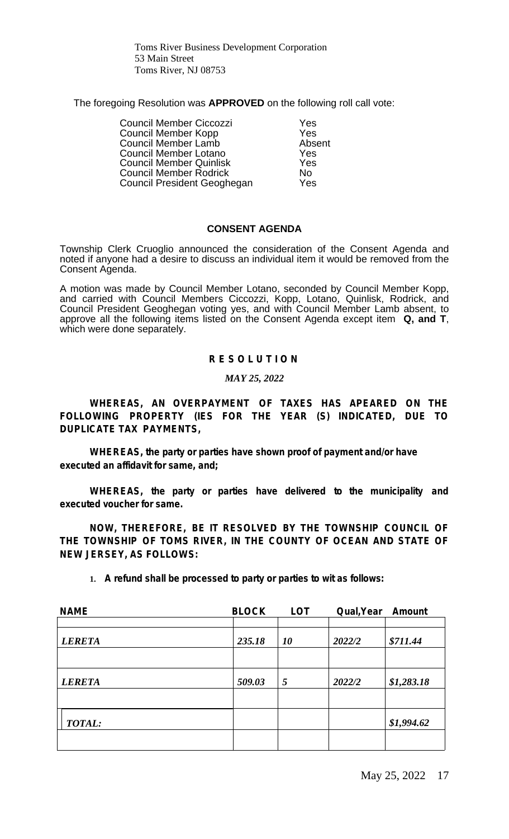Toms River Business Development Corporation 53 Main Street Toms River, NJ 08753

The foregoing Resolution was **APPROVED** on the following roll call vote:

Council Member Ciccozzi Yes **Council Member Kopp 6 79 Yes<br>
Council Member Lamb 6 76 Absent** Council Member Lamb<br>
Council Member Lotano<br>
Yes Council Member Lotano **Yes**<br>Council Member Quinlisk **Yes Council Member Quinlisk** Council Member Rodrick<br>Council President Geoghegan Test Council President Geoghegan

#### **CONSENT AGENDA**

Township Clerk Cruoglio announced the consideration of the Consent Agenda and noted if anyone had a desire to discuss an individual item it would be removed from the Consent Agenda.

A motion was made by Council Member Lotano, seconded by Council Member Kopp, and carried with Council Members Ciccozzi, Kopp, Lotano, Quinlisk, Rodrick, and Council President Geoghegan voting yes, and with Council Member Lamb absent, to approve all the following items listed on the Consent Agenda except item **Q, and T**, which were done separately.

#### *R E S O L U T I O N*

#### *MAY 25, 2022*

*WHEREAS, AN OVERPAYMENT OF TAXES HAS APEARED ON THE FOLLOWING PROPERTY (IES FOR THE YEAR (S) INDICATED, DUE TO DUPLICATE TAX PAYMENTS,*

*WHEREAS, the party or parties have shown proof of payment and/or have executed an affidavit for same, and;*

*WHEREAS, the party or parties have delivered to the municipality and executed voucher for same.*

*NOW, THEREFORE, BE IT RESOLVED BY THE TOWNSHIP COUNCIL OF THE TOWNSHIP OF TOMS RIVER, IN THE COUNTY OF OCEAN AND STATE OF NEW JERSEY, AS FOLLOWS:*

| <b>NAME</b>   | <b>BLOCK</b> | <b>LOT</b> | Qual, Year | Amount     |
|---------------|--------------|------------|------------|------------|
|               |              |            |            |            |
| <b>LERETA</b> | 235.18       | 10         | 2022/2     | \$711.44   |
|               |              |            |            |            |
| <b>LERETA</b> | 509.03       | 5          | 2022/2     | \$1,283.18 |
|               |              |            |            |            |
| <b>TOTAL:</b> |              |            |            | \$1,994.62 |
|               |              |            |            |            |

**1.** *A refund shall be processed to party or parties to wit as follows:*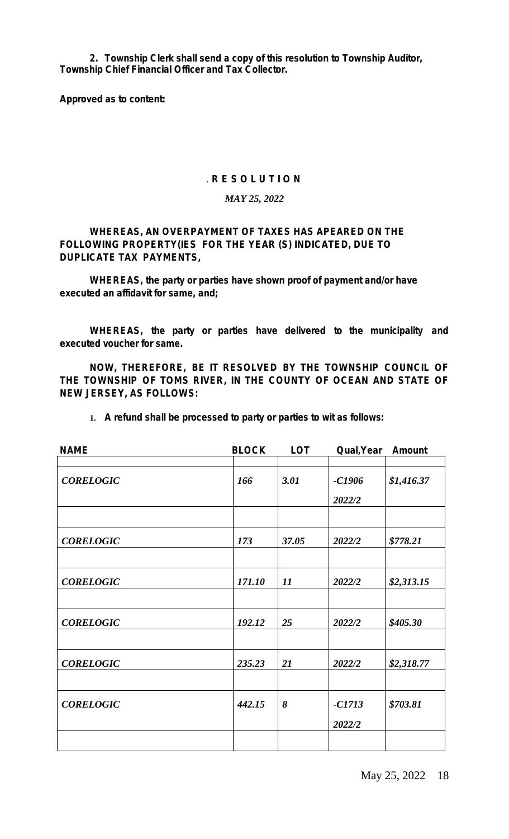*2. Township Clerk shall send a copy of this resolution to Township Auditor, Township Chief Financial Officer and Tax Collector.*

*Approved as to content:*

#### . *R E S O L U T I O N*

#### *MAY 25, 2022*

*WHEREAS, AN OVERPAYMENT OF TAXES HAS APEARED ON THE FOLLOWING PROPERTY(IES FOR THE YEAR (S) INDICATED, DUE TO DUPLICATE TAX PAYMENTS,*

*WHEREAS, the party or parties have shown proof of payment and/or have executed an affidavit for same, and;*

*WHEREAS, the party or parties have delivered to the municipality and executed voucher for same.*

*NOW, THEREFORE, BE IT RESOLVED BY THE TOWNSHIP COUNCIL OF THE TOWNSHIP OF TOMS RIVER, IN THE COUNTY OF OCEAN AND STATE OF NEW JERSEY, AS FOLLOWS:*

| <b>NAME</b>      | <b>BLOCK</b> | <b>LOT</b> | Qual, Year         | <b>Amount</b> |
|------------------|--------------|------------|--------------------|---------------|
| <b>CORELOGIC</b> | 166          | 3.01       | $-C1906$           | \$1,416.37    |
|                  |              |            | 2022/2             |               |
| <b>CORELOGIC</b> | 173          | 37.05      | 2022/2             | \$778.21      |
|                  |              |            |                    |               |
| <b>CORELOGIC</b> | 171.10       | 11         | 2022/2             | \$2,313.15    |
| <b>CORELOGIC</b> | 192.12       | 25         | 2022/2             | \$405.30      |
| <b>CORELOGIC</b> | 235.23       | 21         | 2022/2             | \$2,318.77    |
| <b>CORELOGIC</b> | 442.15       | 8          | $-CI713$<br>2022/2 | \$703.81      |
|                  |              |            |                    |               |

**1.** *A refund shall be processed to party or parties to wit as follows:*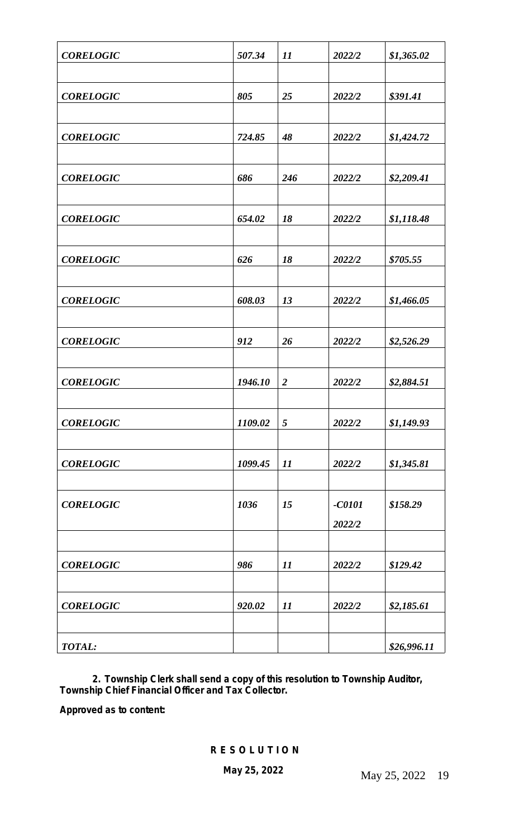| <b>CORELOGIC</b> | 507.34  | 11               | 2022/2   | \$1,365.02  |
|------------------|---------|------------------|----------|-------------|
|                  |         |                  |          |             |
| <b>CORELOGIC</b> | 805     | 25               | 2022/2   | \$391.41    |
|                  |         |                  |          |             |
| <b>CORELOGIC</b> | 724.85  | 48               | 2022/2   | \$1,424.72  |
|                  |         |                  |          |             |
| <b>CORELOGIC</b> | 686     | 246              | 2022/2   | \$2,209.41  |
|                  |         |                  |          |             |
| <b>CORELOGIC</b> | 654.02  | 18               | 2022/2   | \$1,118.48  |
|                  |         |                  |          |             |
| <b>CORELOGIC</b> | 626     | 18               | 2022/2   | \$705.55    |
|                  |         |                  |          |             |
| <b>CORELOGIC</b> | 608.03  | 13               | 2022/2   | \$1,466.05  |
| <b>CORELOGIC</b> | 912     | 26               | 2022/2   | \$2,526.29  |
|                  |         |                  |          |             |
| <b>CORELOGIC</b> | 1946.10 | $\boldsymbol{2}$ | 2022/2   | \$2,884.51  |
|                  |         |                  |          |             |
| <b>CORELOGIC</b> | 1109.02 | 5                | 2022/2   | \$1,149.93  |
|                  |         |                  |          |             |
| <b>CORELOGIC</b> | 1099.45 | 11               | 2022/2   | \$1,345.81  |
|                  |         |                  |          |             |
| <b>CORELOGIC</b> | 1036    | 15               | $-C0101$ | \$158.29    |
|                  |         |                  | 2022/2   |             |
|                  |         |                  |          |             |
| <b>CORELOGIC</b> | 986     | 11               | 2022/2   | \$129.42    |
|                  |         |                  |          |             |
| <b>CORELOGIC</b> | 920.02  | 11               | 2022/2   | \$2,185.61  |
|                  |         |                  |          |             |
| <b>TOTAL:</b>    |         |                  |          | \$26,996.11 |

 *2. Township Clerk shall send a copy of this resolution to Township Auditor, Township Chief Financial Officer and Tax Collector.*

*Approved as to content:*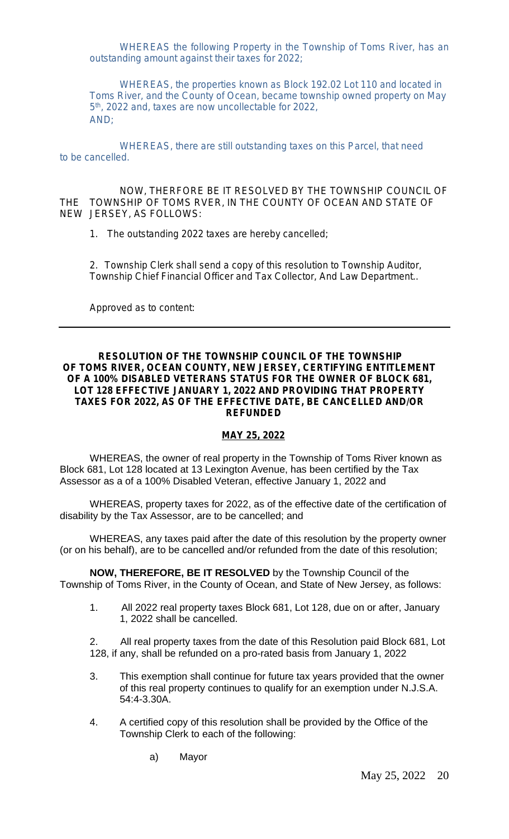WHEREAS the following Property in the Township of Toms River, has an outstanding amount against their taxes for 2022;

WHEREAS, the properties known as Block 192.02 Lot 110 and located in Toms River, and the County of Ocean, became township owned property on May 5 th, 2022 and, taxes are now uncollectable for 2022, AND;

WHEREAS, there are still outstanding taxes on this Parcel, that need to be cancelled.

NOW, THERFORE BE IT RESOLVED BY THE TOWNSHIP COUNCIL OF THE TOWNSHIP OF TOMS RVER, IN THE COUNTY OF OCEAN AND STATE OF NEW JERSEY, AS FOLLOWS:

1. The outstanding 2022 taxes are hereby cancelled;

2. Township Clerk shall send a copy of this resolution to Township Auditor, Township Chief Financial Officer and Tax Collector, And Law Department..

Approved as to content:

#### **RESOLUTION OF THE TOWNSHIP COUNCIL OF THE TOWNSHIP OF TOMS RIVER, OCEAN COUNTY, NEW JERSEY, CERTIFYING ENTITLEMENT OF A 100% DISABLED VETERANS STATUS FOR THE OWNER OF BLOCK 681, LOT 128 EFFECTIVE JANUARY 1, 2022 AND PROVIDING THAT PROPERTY TAXES FOR 2022, AS OF THE EFFECTIVE DATE, BE CANCELLED AND/OR REFUNDED**

### *MAY 25, 2022*

WHEREAS, the owner of real property in the Township of Toms River known as Block 681, Lot 128 located at 13 Lexington Avenue, has been certified by the Tax Assessor as a of a 100% Disabled Veteran, effective January 1, 2022 and

WHEREAS, property taxes for 2022, as of the effective date of the certification of disability by the Tax Assessor, are to be cancelled; and

WHEREAS, any taxes paid after the date of this resolution by the property owner (or on his behalf), are to be cancelled and/or refunded from the date of this resolution;

**NOW, THEREFORE, BE IT RESOLVED** by the Township Council of the Township of Toms River, in the County of Ocean, and State of New Jersey, as follows:

1. All 2022 real property taxes Block 681, Lot 128, due on or after, January 1, 2022 shall be cancelled.

2. All real property taxes from the date of this Resolution paid Block 681, Lot 128, if any, shall be refunded on a pro-rated basis from January 1, 2022

- 3. This exemption shall continue for future tax years provided that the owner of this real property continues to qualify for an exemption under N.J.S.A. 54:4-3.30A.
- 4. A certified copy of this resolution shall be provided by the Office of the Township Clerk to each of the following:
	- a) Mayor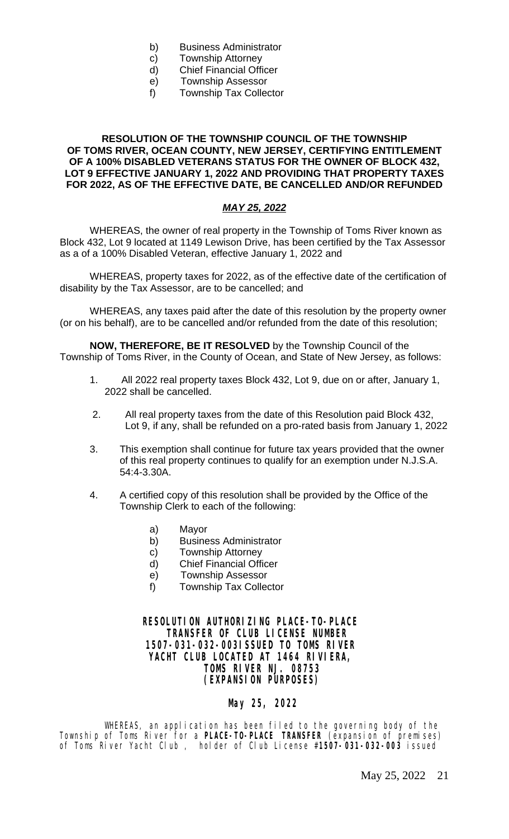- b) Business Administrator
- c) Township Attorney
- d) Chief Financial Officer
- e) Township Assessor
- f) Township Tax Collector

#### **RESOLUTION OF THE TOWNSHIP COUNCIL OF THE TOWNSHIP OF TOMS RIVER, OCEAN COUNTY, NEW JERSEY, CERTIFYING ENTITLEMENT OF A 100% DISABLED VETERANS STATUS FOR THE OWNER OF BLOCK 432, LOT 9 EFFECTIVE JANUARY 1, 2022 AND PROVIDING THAT PROPERTY TAXES FOR 2022, AS OF THE EFFECTIVE DATE, BE CANCELLED AND/OR REFUNDED**

#### *MAY 25, 2022*

WHEREAS, the owner of real property in the Township of Toms River known as Block 432, Lot 9 located at 1149 Lewison Drive, has been certified by the Tax Assessor as a of a 100% Disabled Veteran, effective January 1, 2022 and

WHEREAS, property taxes for 2022, as of the effective date of the certification of disability by the Tax Assessor, are to be cancelled; and

WHEREAS, any taxes paid after the date of this resolution by the property owner (or on his behalf), are to be cancelled and/or refunded from the date of this resolution;

**NOW, THEREFORE, BE IT RESOLVED** by the Township Council of the Township of Toms River, in the County of Ocean, and State of New Jersey, as follows:

- 1. All 2022 real property taxes Block 432, Lot 9, due on or after, January 1, 2022 shall be cancelled.
- 2. All real property taxes from the date of this Resolution paid Block 432, Lot 9, if any, shall be refunded on a pro-rated basis from January 1, 2022
- 3. This exemption shall continue for future tax years provided that the owner of this real property continues to qualify for an exemption under N.J.S.A. 54:4-3.30A.
- 4. A certified copy of this resolution shall be provided by the Office of the Township Clerk to each of the following:
	- a) Mayor
	- b) Business Administrator
	- c) Township Attorney
	- d) Chief Financial Officer
	- e) Township Assessor
	- f) Township Tax Collector

#### **RESOLUTION AUTHORIZING PLACE-TO-PLACE TRANSFER OF CLUB LICENSE NUMBER 1507-031-032-003ISSUED TO TOMS RIVER YACHT CLUB LOCATED AT 1464 RIVIERA, TOMS RIVER NJ. 08753 (EXPANSION PURPOSES)**

### **May 25, 2022**

WHEREAS, an application has been filed to the governing body of the Township of Toms River for a **PLACE-TO-PLACE TRANSFER** (expansion of premises) of Toms River Yacht Club , holder of Club License #**1507-031-032-003** issued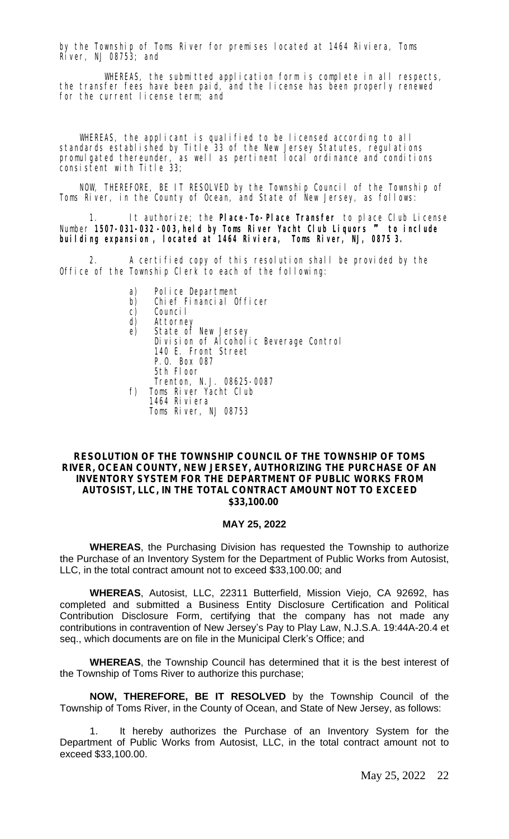by the Township of Toms River for premises located at 1464 Riviera, Toms River, NJ 08753; and

WHEREAS, the submitted application form is complete in all respects, the transfer fees have been paid, and the license has been properly renewed for the current license term; and

WHEREAS, the applicant is qualified to be licensed according to all standards established by Title 33 of the New Jersey Statutes, regulations promulgated thereunder, as well as pertinent local ordinance and conditions consistent with Title 33;

NOW, THEREFORE, BE IT RESOLVED by the Township Council of the Township of Toms River, in the County of Ocean, and State of New Jersey, as follows:

1. It authorize; the **Place-To-Place Transfer** to place Club License Number **1507-031-032 -003,held by Toms River Yacht Club Liquors** " **to include building expansion , located at 1464 Riviera, Toms River, NJ, 0875 3.**

2. A certified copy of this resolution shall be provided by the Office of the Township Clerk to each of the following:

- 
- a) Police Department<br>b) Chief Financial O<br>c) Council Chief Financial Officer
- Counci<sub>l</sub>
- d) Attorney
- e) State of New Jersey Division of Alcoholic Beverage Control 140 E. Front Street P.O. Box 087 5th Floor Trenton, N.J. 08625-0087
- f) Toms River Yacht Club 1464 Riviera Toms River, NJ 08753

#### **RESOLUTION OF THE TOWNSHIP COUNCIL OF THE TOWNSHIP OF TOMS RIVER, OCEAN COUNTY, NEW JERSEY, AUTHORIZING THE PURCHASE OF AN INVENTORY SYSTEM FOR THE DEPARTMENT OF PUBLIC WORKS FROM AUTOSIST, LLC, IN THE TOTAL CONTRACT AMOUNT NOT TO EXCEED \$33,100.00**

#### **MAY 25, 2022**

**WHEREAS**, the Purchasing Division has requested the Township to authorize the Purchase of an Inventory System for the Department of Public Works from Autosist, LLC, in the total contract amount not to exceed \$33,100.00; and

**WHEREAS**, Autosist, LLC, 22311 Butterfield, Mission Viejo, CA 92692, has completed and submitted a Business Entity Disclosure Certification and Political Contribution Disclosure Form, certifying that the company has not made any contributions in contravention of New Jersey's Pay to Play Law, N.J.S.A. 19:44A-20.4 et seq., which documents are on file in the Municipal Clerk's Office; and

**WHEREAS**, the Township Council has determined that it is the best interest of the Township of Toms River to authorize this purchase;

**NOW, THEREFORE, BE IT RESOLVED** by the Township Council of the Township of Toms River, in the County of Ocean, and State of New Jersey, as follows:

It hereby authorizes the Purchase of an Inventory System for the Department of Public Works from Autosist, LLC, in the total contract amount not to exceed \$33,100.00.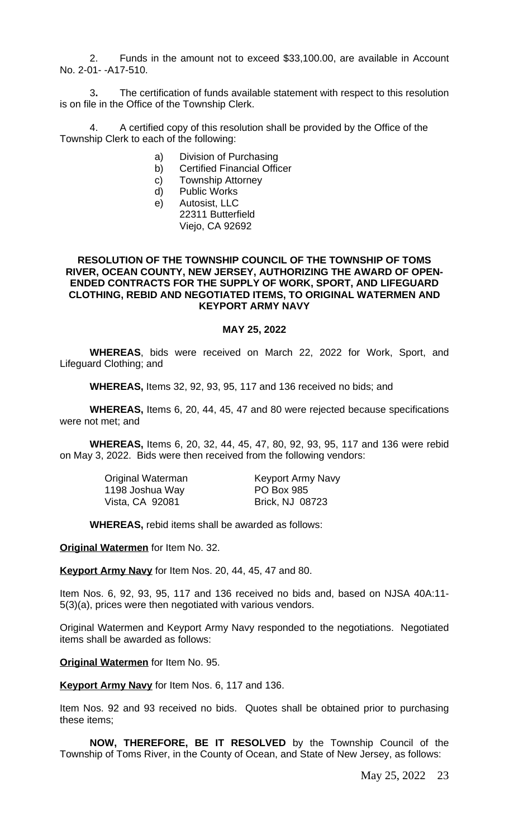2. Funds in the amount not to exceed \$33,100.00, are available in Account No. 2-01- -A17-510.

3**.** The certification of funds available statement with respect to this resolution is on file in the Office of the Township Clerk.

4. A certified copy of this resolution shall be provided by the Office of the Township Clerk to each of the following:

- a) Division of Purchasing
- b) Certified Financial Officer
- c) Township Attorney
- d) Public Works
- e) Autosist, LLC
	- 22311 Butterfield Viejo, CA 92692

#### **RESOLUTION OF THE TOWNSHIP COUNCIL OF THE TOWNSHIP OF TOMS RIVER, OCEAN COUNTY, NEW JERSEY, AUTHORIZING THE AWARD OF OPEN-ENDED CONTRACTS FOR THE SUPPLY OF WORK, SPORT, AND LIFEGUARD CLOTHING, REBID AND NEGOTIATED ITEMS, TO ORIGINAL WATERMEN AND KEYPORT ARMY NAVY**

#### **MAY 25, 2022**

**WHEREAS**, bids were received on March 22, 2022 for Work, Sport, and Lifeguard Clothing; and

**WHEREAS,** Items 32, 92, 93, 95, 117 and 136 received no bids; and

**WHEREAS,** Items 6, 20, 44, 45, 47 and 80 were rejected because specifications were not met; and

**WHEREAS,** Items 6, 20, 32, 44, 45, 47, 80, 92, 93, 95, 117 and 136 were rebid on May 3, 2022. Bids were then received from the following vendors:

| Original Waterman | <b>Keyport Army Navy</b> |
|-------------------|--------------------------|
| 1198 Joshua Way   | <b>PO Box 985</b>        |
| Vista, CA 92081   | <b>Brick, NJ 08723</b>   |

**WHEREAS,** rebid items shall be awarded as follows:

**Original Watermen** for Item No. 32.

**Keyport Army Navy** for Item Nos. 20, 44, 45, 47 and 80.

Item Nos. 6, 92, 93, 95, 117 and 136 received no bids and, based on NJSA 40A:11- 5(3)(a), prices were then negotiated with various vendors.

Original Watermen and Keyport Army Navy responded to the negotiations. Negotiated items shall be awarded as follows:

**Original Watermen** for Item No. 95.

**Keyport Army Navy** for Item Nos. 6, 117 and 136.

Item Nos. 92 and 93 received no bids. Quotes shall be obtained prior to purchasing these items;

**NOW, THEREFORE, BE IT RESOLVED** by the Township Council of the Township of Toms River, in the County of Ocean, and State of New Jersey, as follows: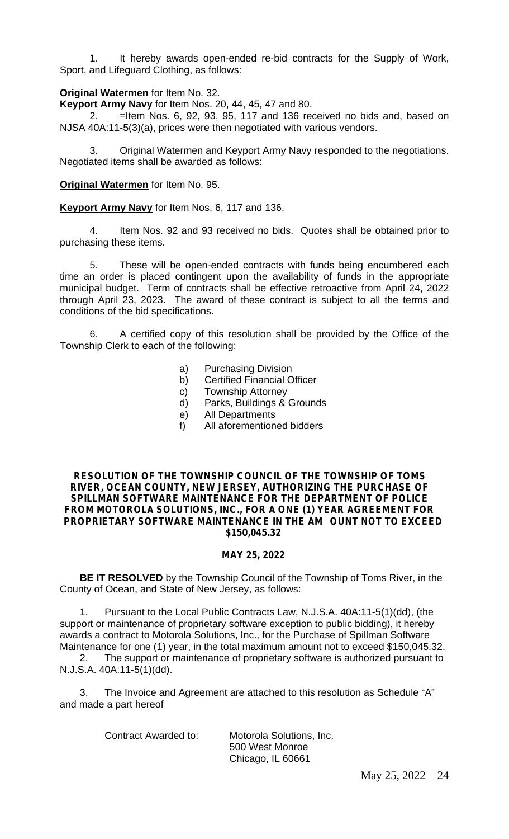1. It hereby awards open-ended re-bid contracts for the Supply of Work, Sport, and Lifeguard Clothing, as follows:

#### **Original Watermen** for Item No. 32.

**Keyport Army Navy** for Item Nos. 20, 44, 45, 47 and 80.

2. =Item Nos. 6, 92, 93, 95, 117 and 136 received no bids and, based on NJSA 40A:11-5(3)(a), prices were then negotiated with various vendors.

3. Original Watermen and Keyport Army Navy responded to the negotiations. Negotiated items shall be awarded as follows:

**Original Watermen** for Item No. 95.

**Keyport Army Navy** for Item Nos. 6, 117 and 136.

4. Item Nos. 92 and 93 received no bids. Quotes shall be obtained prior to purchasing these items.

5. These will be open-ended contracts with funds being encumbered each time an order is placed contingent upon the availability of funds in the appropriate municipal budget. Term of contracts shall be effective retroactive from April 24, 2022 through April 23, 2023. The award of these contract is subject to all the terms and conditions of the bid specifications.

6. A certified copy of this resolution shall be provided by the Office of the Township Clerk to each of the following:

- a) Purchasing Division
- b) Certified Financial Officer
- c) Township Attorney
- d) Parks, Buildings & Grounds
- e) All Departments
- f) All aforementioned bidders

#### **RESOLUTION OF THE TOWNSHIP COUNCIL OF THE TOWNSHIP OF TOMS RIVER, OCEAN COUNTY, NEW JERSEY, AUTHORIZING THE PURCHASE OF SPILLMAN SOFTWARE MAINTENANCE FOR THE DEPARTMENT OF POLICE FROM MOTOROLA SOLUTIONS, INC., FOR A ONE (1) YEAR AGREEMENT FOR PROPRIETARY SOFTWARE MAINTENANCE IN THE AM OUNT NOT TO EXCEED \$150,045.32**

#### **MAY 25, 2022**

**BE IT RESOLVED** by the Township Council of the Township of Toms River, in the County of Ocean, and State of New Jersey, as follows:

1. Pursuant to the Local Public Contracts Law, N.J.S.A. 40A:11-5(1)(dd), (the support or maintenance of proprietary software exception to public bidding), it hereby awards a contract to Motorola Solutions, Inc., for the Purchase of Spillman Software Maintenance for one (1) year, in the total maximum amount not to exceed \$150,045.32.

2. The support or maintenance of proprietary software is authorized pursuant to N.J.S.A. 40A:11-5(1)(dd).

3. The Invoice and Agreement are attached to this resolution as Schedule "A" and made a part hereof

Contract Awarded to: Motorola Solutions, Inc. 500 West Monroe Chicago, IL 60661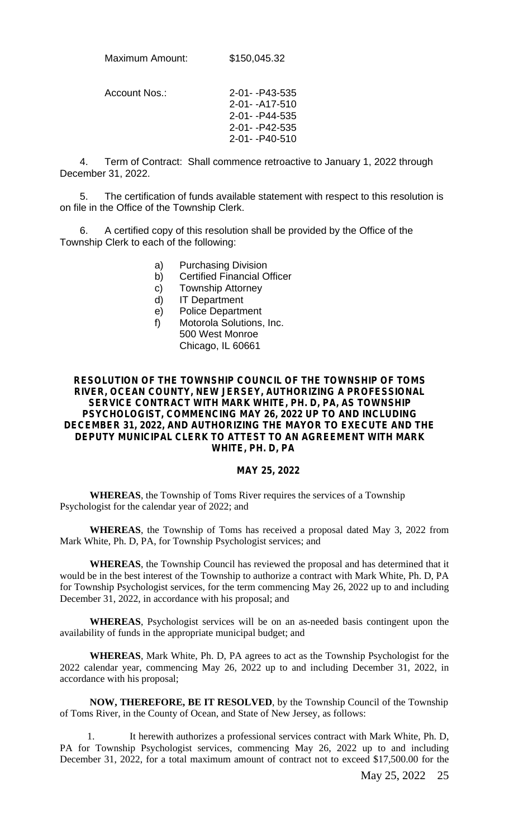Maximum Amount: \$150,045.32

Account Nos.: 2-01- -P43-535 2-01- -A17-510 2-01- -P44-535 2-01- -P42-535 2-01- -P40-510

4. Term of Contract: Shall commence retroactive to January 1, 2022 through December 31, 2022.

5. The certification of funds available statement with respect to this resolution is on file in the Office of the Township Clerk.

6. A certified copy of this resolution shall be provided by the Office of the Township Clerk to each of the following:

- a) Purchasing Division
- b) Certified Financial Officer
- c) Township Attorney
- d) IT Department
- e) Police Department
- f) Motorola Solutions, Inc. 500 West Monroe Chicago, IL 60661

#### **RESOLUTION OF THE TOWNSHIP COUNCIL OF THE TOWNSHIP OF TOMS RIVER, OCEAN COUNTY, NEW JERSEY, AUTHORIZING A PROFESSIONAL SERVICE CONTRACT WITH MARK WHITE, PH. D, PA, AS TOWNSHIP PSYCHOLOGIST, COMMENCING MAY 26, 2022 UP TO AND INCLUDING DECEMBER 31, 2022, AND AUTHORIZING THE MAYOR TO EXECUTE AND THE DEPUTY MUNICIPAL CLERK TO ATTEST TO AN AGREEMENT WITH MARK WHITE, PH. D, PA**

#### **MAY 25, 2022**

**WHEREAS**, the Township of Toms River requires the services of a Township Psychologist for the calendar year of 2022; and

**WHEREAS**, the Township of Toms has received a proposal dated May 3, 2022 from Mark White, Ph. D, PA, for Township Psychologist services; and

**WHEREAS**, the Township Council has reviewed the proposal and has determined that it would be in the best interest of the Township to authorize a contract with Mark White, Ph. D, PA for Township Psychologist services, for the term commencing May 26, 2022 up to and including December 31, 2022, in accordance with his proposal; and

**WHEREAS**, Psychologist services will be on an as-needed basis contingent upon the availability of funds in the appropriate municipal budget; and

**WHEREAS**, Mark White, Ph. D, PA agrees to act as the Township Psychologist for the 2022 calendar year, commencing May 26, 2022 up to and including December 31, 2022, in accordance with his proposal;

**NOW, THEREFORE, BE IT RESOLVED**, by the Township Council of the Township of Toms River, in the County of Ocean, and State of New Jersey, as follows:

 1. It herewith authorizes a professional services contract with Mark White, Ph. D, PA for Township Psychologist services, commencing May 26, 2022 up to and including December 31, 2022, for a total maximum amount of contract not to exceed \$17,500.00 for the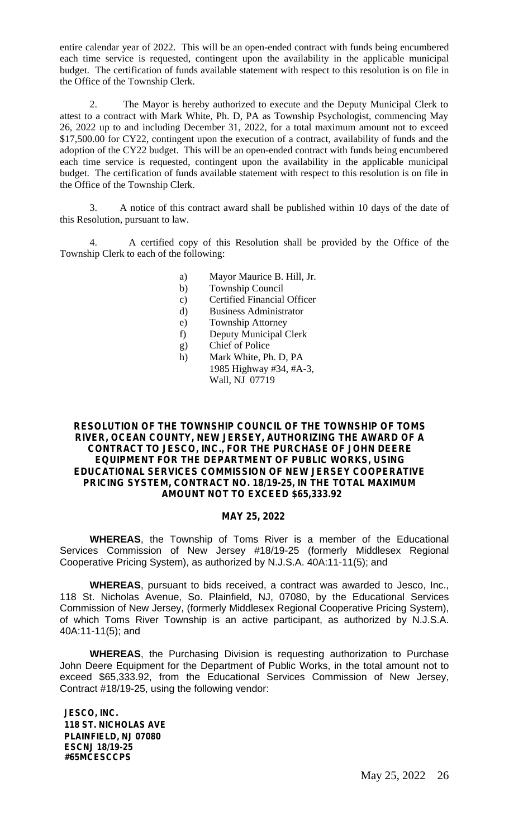entire calendar year of 2022. This will be an open-ended contract with funds being encumbered each time service is requested, contingent upon the availability in the applicable municipal budget. The certification of funds available statement with respect to this resolution is on file in the Office of the Township Clerk.

2. The Mayor is hereby authorized to execute and the Deputy Municipal Clerk to attest to a contract with Mark White, Ph. D, PA as Township Psychologist, commencing May 26, 2022 up to and including December 31, 2022, for a total maximum amount not to exceed \$17,500.00 for CY22, contingent upon the execution of a contract, availability of funds and the adoption of the CY22 budget. This will be an open-ended contract with funds being encumbered each time service is requested, contingent upon the availability in the applicable municipal budget. The certification of funds available statement with respect to this resolution is on file in the Office of the Township Clerk.

3. A notice of this contract award shall be published within 10 days of the date of this Resolution, pursuant to law.

4. A certified copy of this Resolution shall be provided by the Office of the Township Clerk to each of the following:

- a) Mayor Maurice B. Hill, Jr.
- b) Township Council
- c) Certified Financial Officer
- d) Business Administrator
- e) Township Attorney
- f) Deputy Municipal Clerk
- g) Chief of Police
- h) Mark White, Ph. D, PA 1985 Highway #34, #A-3, Wall, NJ 07719

#### **RESOLUTION OF THE TOWNSHIP COUNCIL OF THE TOWNSHIP OF TOMS RIVER, OCEAN COUNTY, NEW JERSEY, AUTHORIZING THE AWARD OF A CONTRACT TO JESCO, INC., FOR THE PURCHASE OF JOHN DEERE EQUIPMENT FOR THE DEPARTMENT OF PUBLIC WORKS, USING EDUCATIONAL SERVICES COMMISSION OF NEW JERSEY COOPERATIVE PRICING SYSTEM, CONTRACT NO. 18/19-25, IN THE TOTAL MAXIMUM AMOUNT NOT TO EXCEED \$65,333.92**

#### **MAY 25, 2022**

**WHEREAS**, the Township of Toms River is a member of the Educational Services Commission of New Jersey #18/19-25 (formerly Middlesex Regional Cooperative Pricing System), as authorized by N.J.S.A. 40A:11-11(5); and

**WHEREAS**, pursuant to bids received, a contract was awarded to Jesco, Inc., 118 St. Nicholas Avenue, So. Plainfield, NJ, 07080, by the Educational Services Commission of New Jersey, (formerly Middlesex Regional Cooperative Pricing System), of which Toms River Township is an active participant, as authorized by N.J.S.A. 40A:11-11(5); and

**WHEREAS**, the Purchasing Division is requesting authorization to Purchase John Deere Equipment for the Department of Public Works, in the total amount not to exceed \$65,333.92, from the Educational Services Commission of New Jersey, Contract #18/19-25, using the following vendor:

**JESCO, INC. 118 ST. NICHOLAS AVE PLAINFIELD, NJ 07080 ESCNJ 18/19-25 #65MCESCCPS**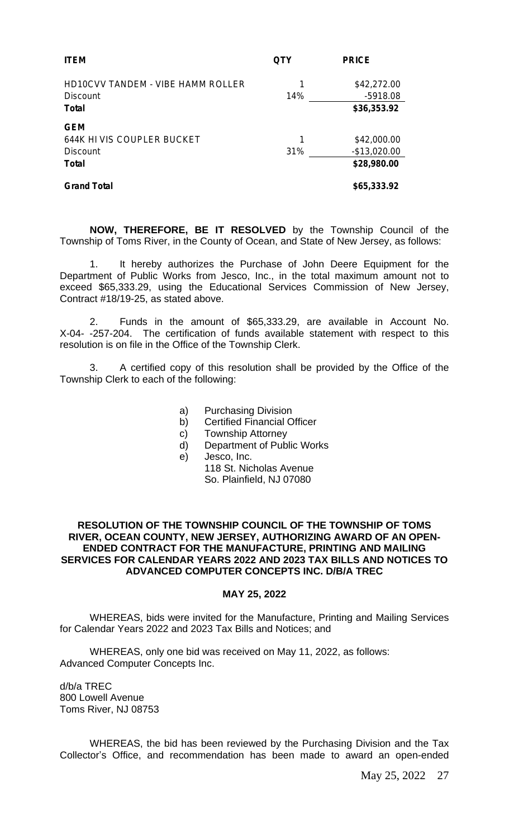| <b>ITEM</b>                                                                 | OTY      | <b>PRICE</b>                                  |
|-----------------------------------------------------------------------------|----------|-----------------------------------------------|
| HD10CVV TANDEM - VIBE HAMM ROLLER<br><b>Discount</b><br><b>Total</b>        | 1<br>14% | \$42,272.00<br>$-5918.08$<br>\$36,353.92      |
| <b>GEM</b><br>644K HI VIS COUPLER BUCKET<br><b>Discount</b><br><b>Total</b> | 1<br>31% | \$42,000.00<br>$-$ \$13,020.00<br>\$28,980.00 |
| <b>Grand Total</b>                                                          |          | \$65,333.92                                   |

**NOW, THEREFORE, BE IT RESOLVED** by the Township Council of the Township of Toms River, in the County of Ocean, and State of New Jersey, as follows:

1. It hereby authorizes the Purchase of John Deere Equipment for the Department of Public Works from Jesco, Inc., in the total maximum amount not to exceed \$65,333.29, using the Educational Services Commission of New Jersey, Contract #18/19-25, as stated above.

2. Funds in the amount of \$65,333.29, are available in Account No. X-04- -257-204. The certification of funds available statement with respect to this resolution is on file in the Office of the Township Clerk.

3. A certified copy of this resolution shall be provided by the Office of the Township Clerk to each of the following:

- a) Purchasing Division
- b) Certified Financial Officer
- c) Township Attorney
- d) Department of Public Works
- e) Jesco, Inc.
	- 118 St. Nicholas Avenue

So. Plainfield, NJ 07080

#### **RESOLUTION OF THE TOWNSHIP COUNCIL OF THE TOWNSHIP OF TOMS RIVER, OCEAN COUNTY, NEW JERSEY, AUTHORIZING AWARD OF AN OPEN-ENDED CONTRACT FOR THE MANUFACTURE, PRINTING AND MAILING SERVICES FOR CALENDAR YEARS 2022 AND 2023 TAX BILLS AND NOTICES TO ADVANCED COMPUTER CONCEPTS INC. D/B/A TREC**

#### **MAY 25, 2022**

WHEREAS, bids were invited for the Manufacture, Printing and Mailing Services for Calendar Years 2022 and 2023 Tax Bills and Notices; and

WHEREAS, only one bid was received on May 11, 2022, as follows: Advanced Computer Concepts Inc.

d/b/a TREC 800 Lowell Avenue Toms River, NJ 08753

WHEREAS, the bid has been reviewed by the Purchasing Division and the Tax Collector's Office, and recommendation has been made to award an open-ended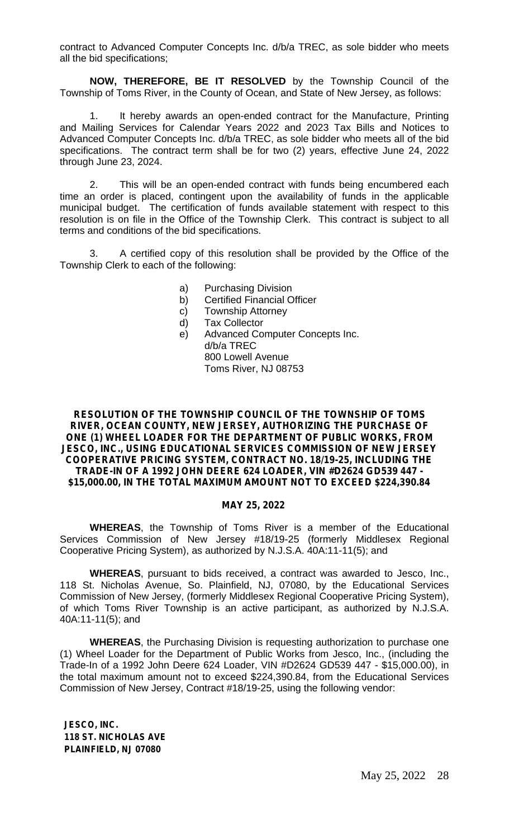contract to Advanced Computer Concepts Inc. d/b/a TREC, as sole bidder who meets all the bid specifications;

**NOW, THEREFORE, BE IT RESOLVED** by the Township Council of the Township of Toms River, in the County of Ocean, and State of New Jersey, as follows:

1. It hereby awards an open-ended contract for the Manufacture, Printing and Mailing Services for Calendar Years 2022 and 2023 Tax Bills and Notices to Advanced Computer Concepts Inc. d/b/a TREC, as sole bidder who meets all of the bid specifications. The contract term shall be for two (2) years, effective June 24, 2022 through June 23, 2024.

2. This will be an open-ended contract with funds being encumbered each time an order is placed, contingent upon the availability of funds in the applicable municipal budget. The certification of funds available statement with respect to this resolution is on file in the Office of the Township Clerk. This contract is subject to all terms and conditions of the bid specifications.

3. A certified copy of this resolution shall be provided by the Office of the Township Clerk to each of the following:

- a) Purchasing Division
- b) Certified Financial Officer
- c) Township Attorney
- d) Tax Collector
- e) Advanced Computer Concepts Inc. d/b/a TREC 800 Lowell Avenue Toms River, NJ 08753

**RESOLUTION OF THE TOWNSHIP COUNCIL OF THE TOWNSHIP OF TOMS RIVER, OCEAN COUNTY, NEW JERSEY, AUTHORIZING THE PURCHASE OF ONE (1) WHEEL LOADER FOR THE DEPARTMENT OF PUBLIC WORKS, FROM JESCO, INC., USING EDUCATIONAL SERVICES COMMISSION OF NEW JERSEY COOPERATIVE PRICING SYSTEM, CONTRACT NO. 18/19-25, INCLUDING THE TRADE-IN OF A 1992 JOHN DEERE 624 LOADER, VIN #D2624 GD539 447 - \$15,000.00, IN THE TOTAL MAXIMUM AMOUNT NOT TO EXCEED \$224,390.84**

#### **MAY 25, 2022**

**WHEREAS**, the Township of Toms River is a member of the Educational Services Commission of New Jersey #18/19-25 (formerly Middlesex Regional Cooperative Pricing System), as authorized by N.J.S.A. 40A:11-11(5); and

**WHEREAS**, pursuant to bids received, a contract was awarded to Jesco, Inc., 118 St. Nicholas Avenue, So. Plainfield, NJ, 07080, by the Educational Services Commission of New Jersey, (formerly Middlesex Regional Cooperative Pricing System), of which Toms River Township is an active participant, as authorized by N.J.S.A. 40A:11-11(5); and

**WHEREAS**, the Purchasing Division is requesting authorization to purchase one (1) Wheel Loader for the Department of Public Works from Jesco, Inc., (including the Trade-In of a 1992 John Deere 624 Loader, VIN #D2624 GD539 447 - \$15,000.00), in the total maximum amount not to exceed \$224,390.84, from the Educational Services Commission of New Jersey, Contract #18/19-25, using the following vendor:

**JESCO, INC. 118 ST. NICHOLAS AVE PLAINFIELD, NJ 07080**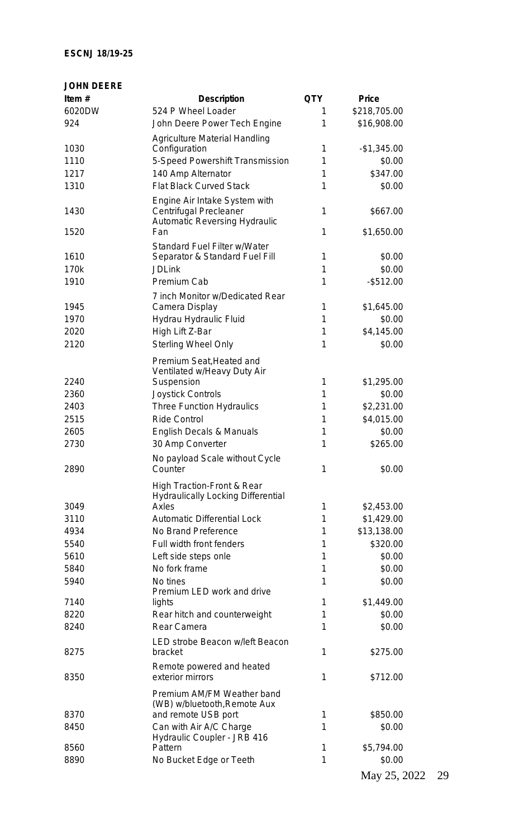#### **ESCNJ 18/19-25**

| <b>JOHN DEERE</b> |                                                                                          |            |              |
|-------------------|------------------------------------------------------------------------------------------|------------|--------------|
| Item $#$          | <b>Description</b>                                                                       | <b>QTY</b> | <b>Price</b> |
| 6020DW            | 524 P Wheel Loader                                                                       | 1          | \$218,705.00 |
| 924               | John Deere Power Tech Engine                                                             | 1          | \$16,908.00  |
|                   | <b>Agriculture Material Handling</b>                                                     |            |              |
| 1030              | Configuration                                                                            | 1          | $-$1,345.00$ |
| 1110              | 5-Speed Powershift Transmission                                                          | 1          | \$0.00       |
| 1217              | 140 Amp Alternator                                                                       | 1          | \$347.00     |
| 1310              | <b>Flat Black Curved Stack</b>                                                           | 1          | \$0.00       |
| 1430              | Engine Air Intake System with<br>Centrifugal Precleaner<br>Automatic Reversing Hydraulic | 1          | \$667.00     |
| 1520              | Fan                                                                                      | 1          | \$1,650.00   |
|                   | Standard Fuel Filter w/Water                                                             |            |              |
| 1610              | Separator & Standard Fuel Fill                                                           | 1          | \$0.00       |
| 170k              | <b>JDLink</b>                                                                            | 1          | \$0.00       |
| 1910              | Premium Cab                                                                              | 1          | $-$ \$512.00 |
|                   | 7 inch Monitor w/Dedicated Rear                                                          |            |              |
| 1945              | Camera Display                                                                           | 1          | \$1,645.00   |
| 1970              | Hydrau Hydraulic Fluid                                                                   | 1          | \$0.00       |
| 2020              | High Lift Z-Bar                                                                          | 1          | \$4,145.00   |
| 2120              | <b>Sterling Wheel Only</b>                                                               | 1          | \$0.00       |
|                   | Premium Seat, Heated and<br>Ventilated w/Heavy Duty Air                                  |            |              |
| 2240              | Suspension                                                                               | 1          | \$1,295.00   |
| 2360              | Joystick Controls                                                                        | 1          | \$0.00       |
| 2403              | Three Function Hydraulics                                                                | 1          | \$2,231.00   |
| 2515              | <b>Ride Control</b>                                                                      | 1          | \$4,015.00   |
| 2605              | English Decals & Manuals                                                                 | 1          | \$0.00       |
| 2730              | 30 Amp Converter                                                                         | 1          | \$265.00     |
| 2890              | No payload Scale without Cycle<br>Counter                                                | 1          | \$0.00       |
|                   | High Traction-Front & Rear<br><b>Hydraulically Locking Differential</b>                  |            |              |
| 3049              | Axles                                                                                    | 1          | \$2,453.00   |
| 3110              | <b>Automatic Differential Lock</b>                                                       | 1          | \$1,429.00   |
| 4934              | No Brand Preference                                                                      | 1          | \$13,138.00  |
| 5540              | Full width front fenders                                                                 | 1          | \$320.00     |
| 5610              | Left side steps onle                                                                     | 1          | \$0.00       |
| 5840              | No fork frame                                                                            | 1          | \$0.00       |
| 5940              | No tines                                                                                 | 1          | \$0.00       |
| 7140              | Premium LED work and drive<br>lights                                                     | 1          | \$1,449.00   |
|                   |                                                                                          |            |              |
| 8220              | Rear hitch and counterweight                                                             | 1          | \$0.00       |
| 8240              | Rear Camera                                                                              | 1          | \$0.00       |
| 8275              | LED strobe Beacon w/left Beacon<br>bracket                                               | 1          | \$275.00     |
| 8350              | Remote powered and heated<br>exterior mirrors                                            | 1          | \$712.00     |
|                   | Premium AM/FM Weather band<br>(WB) w/bluetooth, Remote Aux                               |            |              |
| 8370              | and remote USB port                                                                      | 1          | \$850.00     |
| 8450              | Can with Air A/C Charge<br>Hydraulic Coupler - JRB 416                                   | 1          | \$0.00       |
| 8560              | Pattern                                                                                  | 1          | \$5,794.00   |
| 8890              | No Bucket Edge or Teeth                                                                  | 1          | \$0.00       |
|                   |                                                                                          |            | 25.2022      |

May 25, 2022 29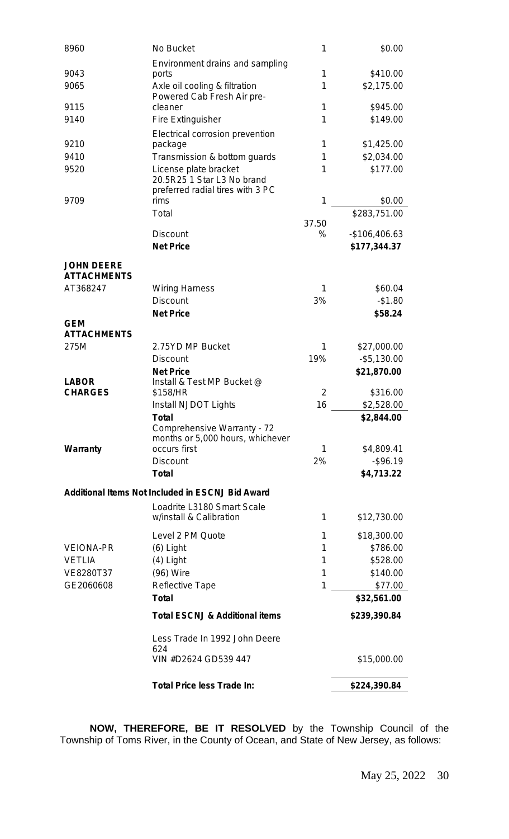| 8960                                    | No Bucket                                               | 1              | \$0.00                    |
|-----------------------------------------|---------------------------------------------------------|----------------|---------------------------|
|                                         | Environment drains and sampling                         |                |                           |
| 9043                                    | ports                                                   | 1              | \$410.00                  |
| 9065                                    | Axle oil cooling & filtration                           | 1              | \$2,175.00                |
| 9115                                    | Powered Cab Fresh Air pre-<br>cleaner                   | 1              | \$945.00                  |
| 9140                                    | Fire Extinguisher                                       | 1              | \$149.00                  |
|                                         | Electrical corrosion prevention                         |                |                           |
| 9210                                    | package                                                 | 1              | \$1,425.00                |
| 9410                                    | Transmission & bottom guards                            | 1              | \$2,034.00                |
| 9520                                    | License plate bracket                                   | 1              | \$177.00                  |
|                                         | 20.5R25 1 Star L3 No brand                              |                |                           |
|                                         | preferred radial tires with 3 PC                        |                |                           |
| 9709                                    | rims<br>Total                                           | 1              | \$0.00                    |
|                                         |                                                         | 37.50          | \$283,751.00              |
|                                         | <b>Discount</b>                                         | %              | $-$106,406.63$            |
|                                         | <b>Net Price</b>                                        |                | \$177,344.37              |
|                                         |                                                         |                |                           |
| <b>JOHN DEERE</b><br><b>ATTACHMENTS</b> |                                                         |                |                           |
| AT368247                                | <b>Wiring Harness</b>                                   | 1              | \$60.04                   |
|                                         | <b>Discount</b>                                         | 3%             | $-$1.80$                  |
|                                         | <b>Net Price</b>                                        |                | \$58.24                   |
| <b>GEM</b>                              |                                                         |                |                           |
| <b>ATTACHMENTS</b>                      |                                                         |                |                           |
| 275M                                    | 2.75YD MP Bucket                                        | 1              | \$27,000.00               |
|                                         | <b>Discount</b>                                         | 19%            | $-$ \$5,130.00            |
| <b>LABOR</b>                            | <b>Net Price</b><br>Install & Test MP Bucket @          |                | \$21,870.00               |
| <b>CHARGES</b>                          | \$158/HR                                                | $\overline{2}$ | \$316.00                  |
|                                         | Install NJDOT Lights                                    | 16             | \$2,528.00                |
|                                         | <b>Total</b>                                            |                | \$2,844.00                |
|                                         | Comprehensive Warranty - 72                             |                |                           |
|                                         | months or 5,000 hours, whichever<br>occurs first        | 1              |                           |
| Warranty                                | <b>Discount</b>                                         | 2%             | \$4,809.41<br>$-$ \$96.19 |
|                                         | <b>Total</b>                                            |                | \$4,713.22                |
|                                         |                                                         |                |                           |
|                                         | <b>Additional Items Not Included in ESCNJ Bid Award</b> |                |                           |
|                                         | Loadrite L3180 Smart Scale                              |                |                           |
|                                         | w/install & Calibration                                 | 1              | \$12,730.00               |
|                                         | Level 2 PM Quote                                        | 1              | \$18,300.00               |
| <b>VEIONA-PR</b>                        | $(6)$ Light                                             | 1              | \$786.00                  |
| <b>VETLIA</b>                           | $(4)$ Light                                             | 1              | \$528.00                  |
| VE8280T37                               | (96) Wire                                               | 1              | \$140.00                  |
| GE2060608                               | Reflective Tape                                         | 1              | \$77.00                   |
|                                         | <b>Total</b>                                            |                | \$32,561.00               |
|                                         | <b>Total ESCNJ &amp; Additional items</b>               |                | \$239,390.84              |
|                                         | Less Trade In 1992 John Deere                           |                |                           |
|                                         | 624                                                     |                |                           |
|                                         | VIN #D2624 GD539 447                                    |                | \$15,000.00               |
|                                         | <b>Total Price less Trade In:</b>                       |                | \$224,390.84              |

**NOW, THEREFORE, BE IT RESOLVED** by the Township Council of the Township of Toms River, in the County of Ocean, and State of New Jersey, as follows: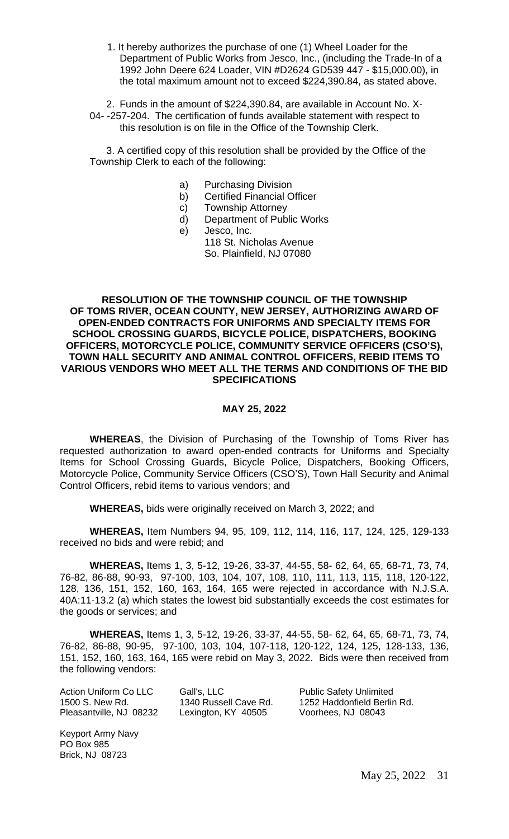1. It hereby authorizes the purchase of one (1) Wheel Loader for the Department of Public Works from Jesco, Inc., (including the Trade-In of a 1992 John Deere 624 Loader, VIN #D2624 GD539 447 - \$15,000.00), in the total maximum amount not to exceed \$224,390.84, as stated above.

 2. Funds in the amount of \$224,390.84, are available in Account No. X-04- -257-204. The certification of funds available statement with respect to this resolution is on file in the Office of the Township Clerk.

 3. A certified copy of this resolution shall be provided by the Office of the Township Clerk to each of the following:

- a) Purchasing Division
- b) Certified Financial Officer
- c) Township Attorney
- d) Department of Public Works
- e) Jesco, Inc.

118 St. Nicholas Avenue So. Plainfield, NJ 07080

#### **RESOLUTION OF THE TOWNSHIP COUNCIL OF THE TOWNSHIP OF TOMS RIVER, OCEAN COUNTY, NEW JERSEY, AUTHORIZING AWARD OF OPEN-ENDED CONTRACTS FOR UNIFORMS AND SPECIALTY ITEMS FOR SCHOOL CROSSING GUARDS, BICYCLE POLICE, DISPATCHERS, BOOKING OFFICERS, MOTORCYCLE POLICE, COMMUNITY SERVICE OFFICERS (CSO'S), TOWN HALL SECURITY AND ANIMAL CONTROL OFFICERS, REBID ITEMS TO VARIOUS VENDORS WHO MEET ALL THE TERMS AND CONDITIONS OF THE BID SPECIFICATIONS**

#### **MAY 25, 2022**

**WHEREAS**, the Division of Purchasing of the Township of Toms River has requested authorization to award open-ended contracts for Uniforms and Specialty Items for School Crossing Guards, Bicycle Police, Dispatchers, Booking Officers, Motorcycle Police, Community Service Officers (CSO'S), Town Hall Security and Animal Control Officers, rebid items to various vendors; and

**WHEREAS,** bids were originally received on March 3, 2022; and

**WHEREAS,** Item Numbers 94, 95, 109, 112, 114, 116, 117, 124, 125, 129-133 received no bids and were rebid; and

**WHEREAS,** Items 1, 3, 5-12, 19-26, 33-37, 44-55, 58- 62, 64, 65, 68-71, 73, 74, 76-82, 86-88, 90-93, 97-100, 103, 104, 107, 108, 110, 111, 113, 115, 118, 120-122, 128, 136, 151, 152, 160, 163, 164, 165 were rejected in accordance with N.J.S.A. 40A:11-13.2 (a) which states the lowest bid substantially exceeds the cost estimates for the goods or services; and

**WHEREAS,** Items 1, 3, 5-12, 19-26, 33-37, 44-55, 58- 62, 64, 65, 68-71, 73, 74, 76-82, 86-88, 90-95, 97-100, 103, 104, 107-118, 120-122, 124, 125, 128-133, 136, 151, 152, 160, 163, 164, 165 were rebid on May 3, 2022. Bids were then received from the following vendors:

| Action Uniform Co LLC   | Gall's, LLC           | <b>Public Safety Unlimited</b> |
|-------------------------|-----------------------|--------------------------------|
| 1500 S. New Rd.         | 1340 Russell Cave Rd. | 1252 Haddonfield Berlin Rd.    |
| Pleasantville, NJ 08232 | Lexington, KY 40505   | Voorhees, NJ 08043             |

Keyport Army Navy PO Box 985 Brick, NJ 08723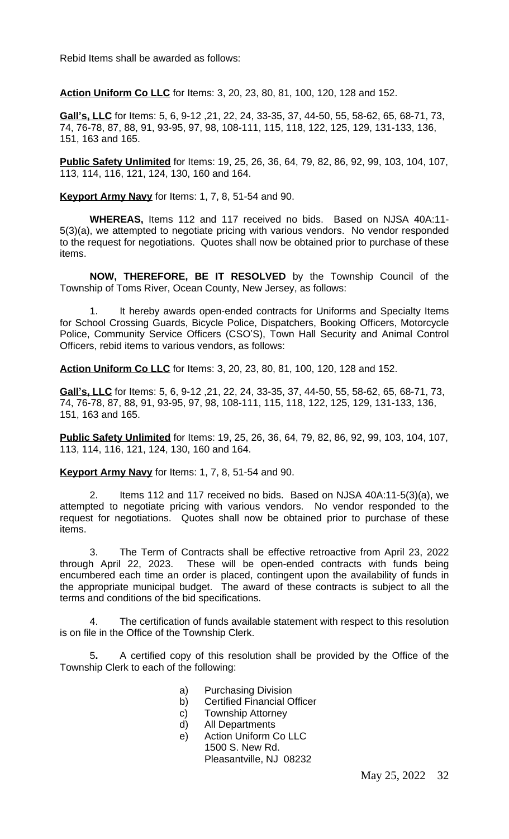Rebid Items shall be awarded as follows:

**Action Uniform Co LLC** for Items: 3, 20, 23, 80, 81, 100, 120, 128 and 152.

**Gall's, LLC** for Items: 5, 6, 9-12 ,21, 22, 24, 33-35, 37, 44-50, 55, 58-62, 65, 68-71, 73, 74, 76-78, 87, 88, 91, 93-95, 97, 98, 108-111, 115, 118, 122, 125, 129, 131-133, 136, 151, 163 and 165.

**Public Safety Unlimited** for Items: 19, 25, 26, 36, 64, 79, 82, 86, 92, 99, 103, 104, 107, 113, 114, 116, 121, 124, 130, 160 and 164.

**Keyport Army Navy** for Items: 1, 7, 8, 51-54 and 90.

**WHEREAS,** Items 112 and 117 received no bids. Based on NJSA 40A:11- 5(3)(a), we attempted to negotiate pricing with various vendors. No vendor responded to the request for negotiations. Quotes shall now be obtained prior to purchase of these items.

**NOW, THEREFORE, BE IT RESOLVED** by the Township Council of the Township of Toms River, Ocean County, New Jersey, as follows:

It hereby awards open-ended contracts for Uniforms and Specialty Items for School Crossing Guards, Bicycle Police, Dispatchers, Booking Officers, Motorcycle Police, Community Service Officers (CSO'S), Town Hall Security and Animal Control Officers, rebid items to various vendors, as follows:

**Action Uniform Co LLC** for Items: 3, 20, 23, 80, 81, 100, 120, 128 and 152.

**Gall's, LLC** for Items: 5, 6, 9-12 ,21, 22, 24, 33-35, 37, 44-50, 55, 58-62, 65, 68-71, 73, 74, 76-78, 87, 88, 91, 93-95, 97, 98, 108-111, 115, 118, 122, 125, 129, 131-133, 136, 151, 163 and 165.

**Public Safety Unlimited** for Items: 19, 25, 26, 36, 64, 79, 82, 86, 92, 99, 103, 104, 107, 113, 114, 116, 121, 124, 130, 160 and 164.

**Keyport Army Navy** for Items: 1, 7, 8, 51-54 and 90.

2. Items 112 and 117 received no bids. Based on NJSA 40A:11-5(3)(a), we attempted to negotiate pricing with various vendors. No vendor responded to the request for negotiations. Quotes shall now be obtained prior to purchase of these items.

3. The Term of Contracts shall be effective retroactive from April 23, 2022 through April 22, 2023. These will be open-ended contracts with funds being encumbered each time an order is placed, contingent upon the availability of funds in the appropriate municipal budget. The award of these contracts is subject to all the terms and conditions of the bid specifications.

4. The certification of funds available statement with respect to this resolution is on file in the Office of the Township Clerk.

5**.** A certified copy of this resolution shall be provided by the Office of the Township Clerk to each of the following:

- a) Purchasing Division
- b) Certified Financial Officer
- c) Township Attorney
- d) All Departments
- e) Action Uniform Co LLC 1500 S. New Rd. Pleasantville, NJ 08232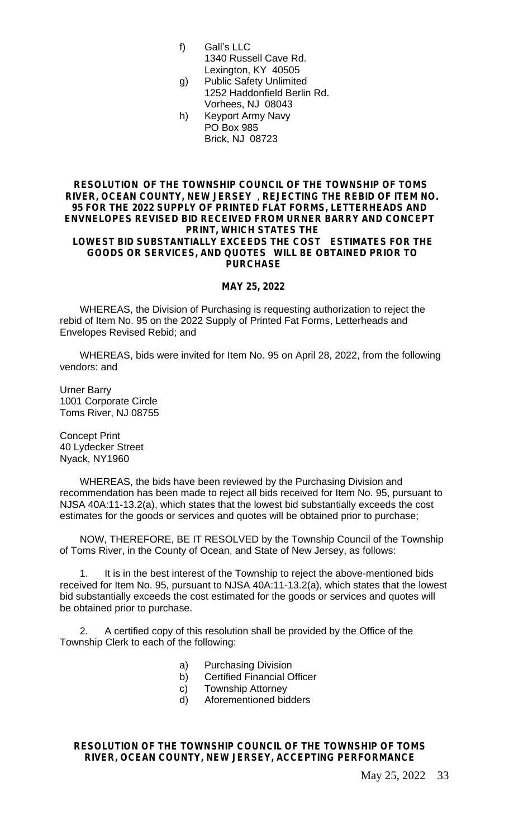- f) Gall's LLC
	- 1340 Russell Cave Rd. Lexington, KY 40505
- g) Public Safety Unlimited 1252 Haddonfield Berlin Rd. Vorhees, NJ 08043
- h) Keyport Army Navy PO Box 985 Brick, NJ 08723

#### **RESOLUTION OF THE TOWNSHIP COUNCIL OF THE TOWNSHIP OF TOMS RIVER, OCEAN COUNTY, NEW JERSEY** , **REJECTING THE REBID OF ITEM NO. 95 FOR THE 2022 SUPPLY OF PRINTED FLAT FORMS, LETTERHEADS AND ENVNELOPES REVISED BID RECEIVED FROM URNER BARRY AND CONCEPT PRINT, WHICH STATES THE LOWEST BID SUBSTANTIALLY EXCEEDS THE COST ESTIMATES FOR THE**

## **GOODS OR SERVICES, AND QUOTES WILL BE OBTAINED PRIOR TO PURCHASE**

#### **MAY 25, 2022**

WHEREAS, the Division of Purchasing is requesting authorization to reject the rebid of Item No. 95 on the 2022 Supply of Printed Fat Forms, Letterheads and Envelopes Revised Rebid; and

WHEREAS, bids were invited for Item No. 95 on April 28, 2022, from the following vendors: and

Urner Barry 1001 Corporate Circle Toms River, NJ 08755

Concept Print 40 Lydecker Street Nyack, NY1960

WHEREAS, the bids have been reviewed by the Purchasing Division and recommendation has been made to reject all bids received for Item No. 95, pursuant to NJSA 40A:11-13.2(a), which states that the lowest bid substantially exceeds the cost estimates for the goods or services and quotes will be obtained prior to purchase;

NOW, THEREFORE, BE IT RESOLVED by the Township Council of the Township of Toms River, in the County of Ocean, and State of New Jersey, as follows:

1. It is in the best interest of the Township to reject the above-mentioned bids received for Item No. 95, pursuant to NJSA 40A:11-13.2(a), which states that the lowest bid substantially exceeds the cost estimated for the goods or services and quotes will be obtained prior to purchase.

2. A certified copy of this resolution shall be provided by the Office of the Township Clerk to each of the following:

- a) Purchasing Division
- b) Certified Financial Officer
- c) Township Attorney
- d) Aforementioned bidders

#### **RESOLUTION OF THE TOWNSHIP COUNCIL OF THE TOWNSHIP OF TOMS RIVER, OCEAN COUNTY, NEW JERSEY, ACCEPTING PERFORMANCE**

May 25, 2022 33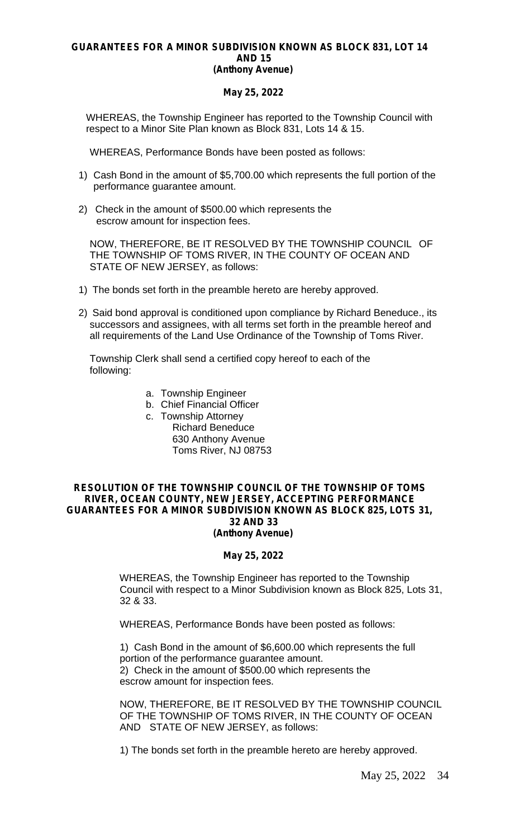#### **GUARANTEES FOR A MINOR SUBDIVISION KNOWN AS BLOCK 831, LOT 14 AND 15 (Anthony Avenue)**

#### **May 25, 2022**

WHEREAS, the Township Engineer has reported to the Township Council with respect to a Minor Site Plan known as Block 831, Lots 14 & 15.

WHEREAS, Performance Bonds have been posted as follows:

- 1) Cash Bond in the amount of \$5,700.00 which represents the full portion of the performance guarantee amount.
- 2) Check in the amount of \$500.00 which represents the escrow amount for inspection fees.

NOW, THEREFORE, BE IT RESOLVED BY THE TOWNSHIP COUNCIL OF THE TOWNSHIP OF TOMS RIVER, IN THE COUNTY OF OCEAN AND STATE OF NEW JERSEY, as follows:

- 1) The bonds set forth in the preamble hereto are hereby approved.
- 2) Said bond approval is conditioned upon compliance by Richard Beneduce., its successors and assignees, with all terms set forth in the preamble hereof and all requirements of the Land Use Ordinance of the Township of Toms River.

Township Clerk shall send a certified copy hereof to each of the following:

- a. Township Engineer
- b. Chief Financial Officer
- c. Township Attorney Richard Beneduce 630 Anthony Avenue Toms River, NJ 08753

#### **RESOLUTION OF THE TOWNSHIP COUNCIL OF THE TOWNSHIP OF TOMS RIVER, OCEAN COUNTY, NEW JERSEY, ACCEPTING PERFORMANCE GUARANTEES FOR A MINOR SUBDIVISION KNOWN AS BLOCK 825, LOTS 31, 32 AND 33 (Anthony Avenue)**

#### **May 25, 2022**

WHEREAS, the Township Engineer has reported to the Township Council with respect to a Minor Subdivision known as Block 825, Lots 31, 32 & 33.

WHEREAS, Performance Bonds have been posted as follows:

1) Cash Bond in the amount of \$6,600.00 which represents the full portion of the performance guarantee amount. 2) Check in the amount of \$500.00 which represents the escrow amount for inspection fees.

NOW, THEREFORE, BE IT RESOLVED BY THE TOWNSHIP COUNCIL OF THE TOWNSHIP OF TOMS RIVER, IN THE COUNTY OF OCEAN AND STATE OF NEW JERSEY, as follows:

1) The bonds set forth in the preamble hereto are hereby approved.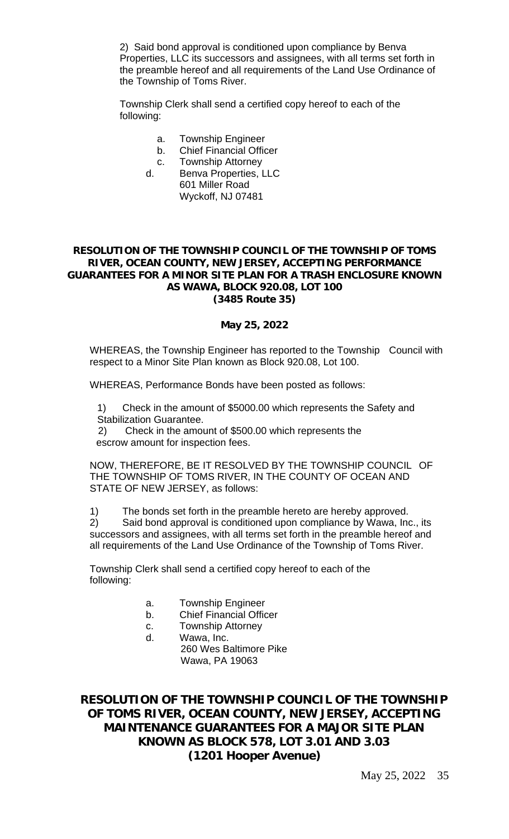2) Said bond approval is conditioned upon compliance by Benva Properties, LLC its successors and assignees, with all terms set forth in the preamble hereof and all requirements of the Land Use Ordinance of the Township of Toms River.

Township Clerk shall send a certified copy hereof to each of the following:

- a. Township Engineer
- b. Chief Financial Officer
- c. Township Attorney
- d. Benva Properties, LLC 601 Miller Road Wyckoff, NJ 07481

#### **RESOLUTION OF THE TOWNSHIP COUNCIL OF THE TOWNSHIP OF TOMS RIVER, OCEAN COUNTY, NEW JERSEY, ACCEPTING PERFORMANCE GUARANTEES FOR A MINOR SITE PLAN FOR A TRASH ENCLOSURE KNOWN AS WAWA, BLOCK 920.08, LOT 100 (3485 Route 35)**

#### **May 25, 2022**

WHEREAS, the Township Engineer has reported to the Township Council with respect to a Minor Site Plan known as Block 920.08, Lot 100.

WHEREAS, Performance Bonds have been posted as follows:

1) Check in the amount of \$5000.00 which represents the Safety and Stabilization Guarantee.

 2) Check in the amount of \$500.00 which represents the escrow amount for inspection fees.

NOW, THEREFORE, BE IT RESOLVED BY THE TOWNSHIP COUNCIL OF THE TOWNSHIP OF TOMS RIVER, IN THE COUNTY OF OCEAN AND STATE OF NEW JERSEY, as follows:

1) The bonds set forth in the preamble hereto are hereby approved.

2) Said bond approval is conditioned upon compliance by Wawa, Inc., its successors and assignees, with all terms set forth in the preamble hereof and all requirements of the Land Use Ordinance of the Township of Toms River.

Township Clerk shall send a certified copy hereof to each of the following:

- a. Township Engineer
- b. Chief Financial Officer
- c. Township Attorney
- d. Wawa, Inc. 260 Wes Baltimore Pike Wawa, PA 19063

**RESOLUTION OF THE TOWNSHIP COUNCIL OF THE TOWNSHIP OF TOMS RIVER, OCEAN COUNTY, NEW JERSEY, ACCEPTING MAINTENANCE GUARANTEES FOR A MAJOR SITE PLAN KNOWN AS BLOCK 578, LOT 3.01 AND 3.03 (1201 Hooper Avenue)**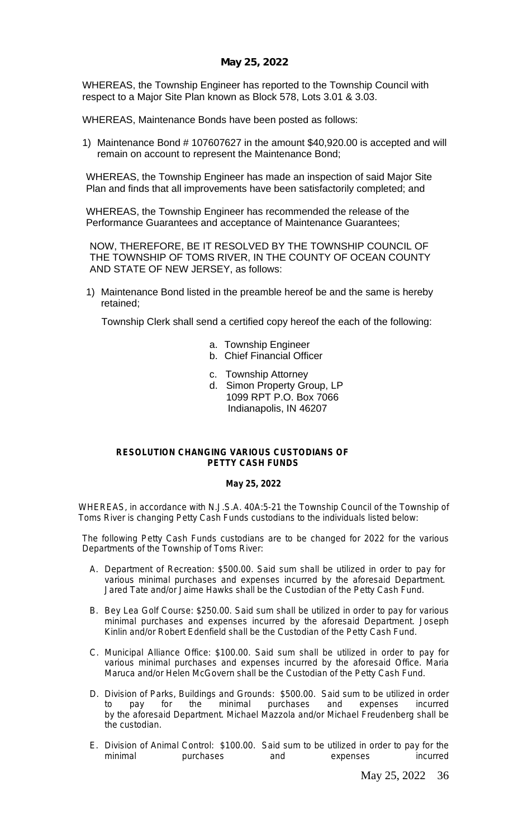WHEREAS, the Township Engineer has reported to the Township Council with respect to a Major Site Plan known as Block 578, Lots 3.01 & 3.03.

WHEREAS, Maintenance Bonds have been posted as follows:

1) Maintenance Bond # 107607627 in the amount \$40,920.00 is accepted and will remain on account to represent the Maintenance Bond;

WHEREAS, the Township Engineer has made an inspection of said Major Site Plan and finds that all improvements have been satisfactorily completed; and

WHEREAS, the Township Engineer has recommended the release of the Performance Guarantees and acceptance of Maintenance Guarantees;

NOW, THEREFORE, BE IT RESOLVED BY THE TOWNSHIP COUNCIL OF THE TOWNSHIP OF TOMS RIVER, IN THE COUNTY OF OCEAN COUNTY AND STATE OF NEW JERSEY, as follows:

1) Maintenance Bond listed in the preamble hereof be and the same is hereby retained;

Township Clerk shall send a certified copy hereof the each of the following:

- a. Township Engineer
- b. Chief Financial Officer
- c. Township Attorney
- d. Simon Property Group, LP 1099 RPT P.O. Box 7066 Indianapolis, IN 46207

#### **RESOLUTION CHANGING VARIOUS CUSTODIANS OF PETTY CASH FUNDS**

#### **May 25, 2022**

WHEREAS, in accordance with N.J.S.A. 40A:5-21 the Township Council of the Township of Toms River is changing Petty Cash Funds custodians to the individuals listed below:

The following Petty Cash Funds custodians are to be changed for 2022 for the various Departments of the Township of Toms River:

- A. Department of Recreation: \$500.00. Said sum shall be utilized in order to pay for various minimal purchases and expenses incurred by the aforesaid Department. Jared Tate and/or Jaime Hawks shall be the Custodian of the Petty Cash Fund.
- B. Bey Lea Golf Course: \$250.00. Said sum shall be utilized in order to pay for various minimal purchases and expenses incurred by the aforesaid Department. Joseph Kinlin and/or Robert Edenfield shall be the Custodian of the Petty Cash Fund.
- C. Municipal Alliance Office: \$100.00. Said sum shall be utilized in order to pay for various minimal purchases and expenses incurred by the aforesaid Office. Maria Maruca and/or Helen McGovern shall be the Custodian of the Petty Cash Fund.
- D. Division of Parks, Buildings and Grounds: \$500.00. Said sum to be utilized in order to pay for the minimal purchases and expenses incurred by the aforesaid Department. Michael Mazzola and/or Michael Freudenberg shall be the custodian.
- E. Division of Animal Control: \$100.00. Said sum to be utilized in order to pay for the<br>minimal purchases and expenses incurred minimal purchases and expenses incurred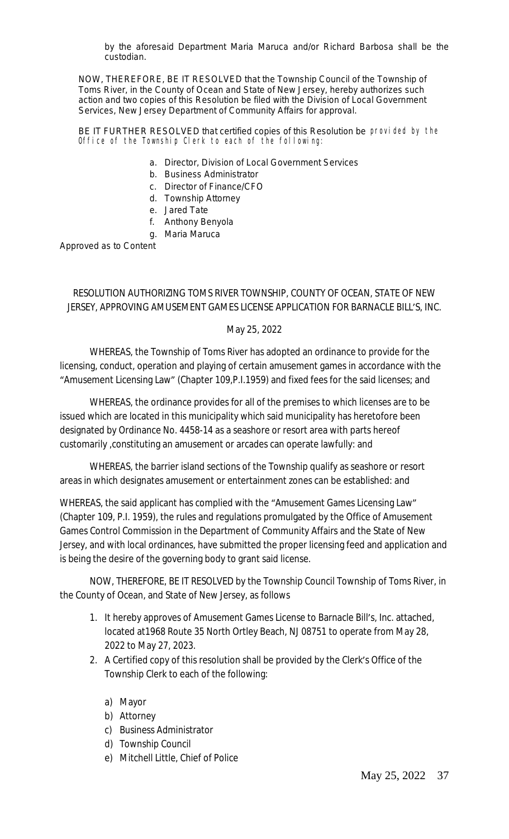by the aforesaid Department Maria Maruca and/or Richard Barbosa shall be the custodian.

NOW, THEREFORE, BE IT RESOLVED that the Township Council of the Township of Toms River, in the County of Ocean and State of New Jersey, hereby authorizes such action and two copies of this Resolution be filed with the Division of Local Government Services, New Jersey Department of Community Affairs for approval.

BE IT FURTHER RESOLVED that certified copies of this Resolution be provided by the Office of the Township Clerk to each of the following:

- a. Director, Division of Local Government Services
- b. Business Administrator
- c. Director of Finance/CFO
- d. Township Attorney
- e. Jared Tate
- f. Anthony Benyola
- g. Maria Maruca

Approved as to Content

## RESOLUTION AUTHORIZING TOMS RIVER TOWNSHIP, COUNTY OF OCEAN, STATE OF NEW JERSEY, APPROVING AMUSEMENT GAMES LICENSE APPLICATION FOR BARNACLE BILL'S, INC.

#### May 25, 2022

WHEREAS, the Township of Toms River has adopted an ordinance to provide for the licensing, conduct, operation and playing of certain amusement games in accordance with the "Amusement Licensing Law" (Chapter 109,P.I.1959) and fixed fees for the said licenses; and

WHEREAS, the ordinance provides for all of the premises to which licenses are to be issued which are located in this municipality which said municipality has heretofore been designated by Ordinance No. 4458-14 as a seashore or resort area with parts hereof customarily ,constituting an amusement or arcades can operate lawfully: and

WHEREAS, the barrier island sections of the Township qualify as seashore or resort areas in which designates amusement or entertainment zones can be established: and

WHEREAS, the said applicant has complied with the "Amusement Games Licensing Law" (Chapter 109, P.I. 1959), the rules and regulations promulgated by the Office of Amusement Games Control Commission in the Department of Community Affairs and the State of New Jersey, and with local ordinances, have submitted the proper licensing feed and application and is being the desire of the governing body to grant said license.

NOW, THEREFORE, BE IT RESOLVED by the Township Council Township of Toms River, in the County of Ocean, and State of New Jersey, as follows

- 1. It hereby approves of Amusement Games License to Barnacle Bill's, Inc. attached, located at1968 Route 35 North Ortley Beach, NJ 08751 to operate from May 28, 2022 to May 27, 2023.
- 2. A Certified copy of this resolution shall be provided by the Clerk's Office of the Township Clerk to each of the following:
	- a) Mayor
	- b) Attorney
	- c) Business Administrator
	- d) Township Council
	- e) Mitchell Little, Chief of Police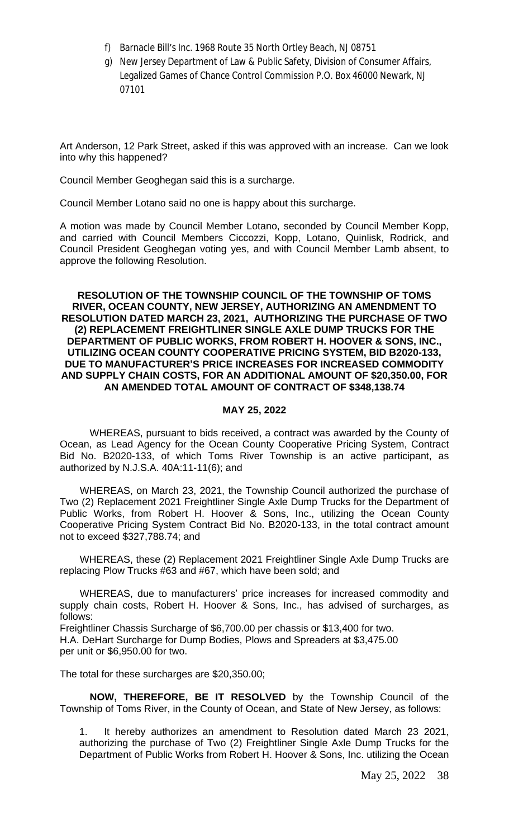- f) Barnacle Bill's Inc. 1968 Route 35 North Ortley Beach, NJ 08751
- g) New Jersey Department of Law & Public Safety, Division of Consumer Affairs, Legalized Games of Chance Control Commission P.O. Box 46000 Newark, NJ 07101

Art Anderson, 12 Park Street, asked if this was approved with an increase. Can we look into why this happened?

Council Member Geoghegan said this is a surcharge.

Council Member Lotano said no one is happy about this surcharge.

A motion was made by Council Member Lotano, seconded by Council Member Kopp, and carried with Council Members Ciccozzi, Kopp, Lotano, Quinlisk, Rodrick, and Council President Geoghegan voting yes, and with Council Member Lamb absent, to approve the following Resolution.

#### **RESOLUTION OF THE TOWNSHIP COUNCIL OF THE TOWNSHIP OF TOMS RIVER, OCEAN COUNTY, NEW JERSEY, AUTHORIZING AN AMENDMENT TO RESOLUTION DATED MARCH 23, 2021, AUTHORIZING THE PURCHASE OF TWO (2) REPLACEMENT FREIGHTLINER SINGLE AXLE DUMP TRUCKS FOR THE DEPARTMENT OF PUBLIC WORKS, FROM ROBERT H. HOOVER & SONS, INC., UTILIZING OCEAN COUNTY COOPERATIVE PRICING SYSTEM, BID B2020-133, DUE TO MANUFACTURER'S PRICE INCREASES FOR INCREASED COMMODITY AND SUPPLY CHAIN COSTS, FOR AN ADDITIONAL AMOUNT OF \$20,350.00, FOR AN AMENDED TOTAL AMOUNT OF CONTRACT OF \$348,138.74**

#### **MAY 25, 2022**

WHEREAS, pursuant to bids received, a contract was awarded by the County of Ocean, as Lead Agency for the Ocean County Cooperative Pricing System, Contract Bid No. B2020-133, of which Toms River Township is an active participant, as authorized by N.J.S.A. 40A:11-11(6); and

WHEREAS, on March 23, 2021, the Township Council authorized the purchase of Two (2) Replacement 2021 Freightliner Single Axle Dump Trucks for the Department of Public Works, from Robert H. Hoover & Sons, Inc., utilizing the Ocean County Cooperative Pricing System Contract Bid No. B2020-133, in the total contract amount not to exceed \$327,788.74; and

WHEREAS, these (2) Replacement 2021 Freightliner Single Axle Dump Trucks are replacing Plow Trucks #63 and #67, which have been sold; and

WHEREAS, due to manufacturers' price increases for increased commodity and supply chain costs, Robert H. Hoover & Sons, Inc., has advised of surcharges, as follows:

Freightliner Chassis Surcharge of \$6,700.00 per chassis or \$13,400 for two. H.A. DeHart Surcharge for Dump Bodies, Plows and Spreaders at \$3,475.00 per unit or \$6,950.00 for two.

The total for these surcharges are \$20,350.00;

**NOW, THEREFORE, BE IT RESOLVED** by the Township Council of the Township of Toms River, in the County of Ocean, and State of New Jersey, as follows:

1. It hereby authorizes an amendment to Resolution dated March 23 2021, authorizing the purchase of Two (2) Freightliner Single Axle Dump Trucks for the Department of Public Works from Robert H. Hoover & Sons, Inc. utilizing the Ocean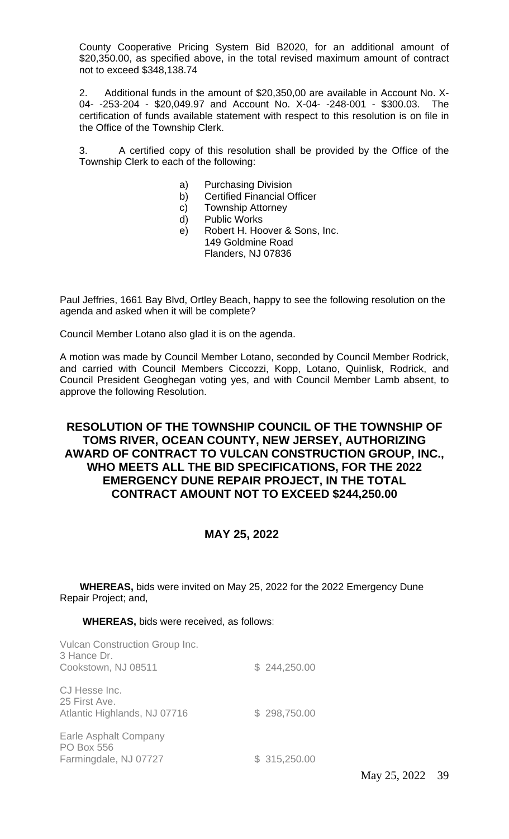County Cooperative Pricing System Bid B2020, for an additional amount of \$20,350.00, as specified above, in the total revised maximum amount of contract not to exceed \$348,138.74

2. Additional funds in the amount of \$20,350,00 are available in Account No. X-04- -253-204 - \$20,049.97 and Account No. X-04- -248-001 - \$300.03. The certification of funds available statement with respect to this resolution is on file in the Office of the Township Clerk.

3. A certified copy of this resolution shall be provided by the Office of the Township Clerk to each of the following:

- a) Purchasing Division
- b) Certified Financial Officer
- c) Township Attorney
- d) Public Works
- e) Robert H. Hoover & Sons, Inc. 149 Goldmine Road Flanders, NJ 07836

Paul Jeffries, 1661 Bay Blvd, Ortley Beach, happy to see the following resolution on the agenda and asked when it will be complete?

Council Member Lotano also glad it is on the agenda.

A motion was made by Council Member Lotano, seconded by Council Member Rodrick, and carried with Council Members Ciccozzi, Kopp, Lotano, Quinlisk, Rodrick, and Council President Geoghegan voting yes, and with Council Member Lamb absent, to approve the following Resolution.

## **RESOLUTION OF THE TOWNSHIP COUNCIL OF THE TOWNSHIP OF TOMS RIVER, OCEAN COUNTY, NEW JERSEY, AUTHORIZING AWARD OF CONTRACT TO VULCAN CONSTRUCTION GROUP, INC., WHO MEETS ALL THE BID SPECIFICATIONS, FOR THE 2022 EMERGENCY DUNE REPAIR PROJECT, IN THE TOTAL CONTRACT AMOUNT NOT TO EXCEED \$244,250.00**

## **MAY 25, 2022**

**WHEREAS,** bids were invited on May 25, 2022 for the 2022 Emergency Dune Repair Project; and,

#### **WHEREAS,** bids were received, as follows:

| <b>Vulcan Construction Group Inc.</b><br>3 Hance Dr.<br>Cookstown, NJ 08511 | \$244,250.00 |
|-----------------------------------------------------------------------------|--------------|
| CJ Hesse Inc.<br>25 First Ave.<br>Atlantic Highlands, NJ 07716              | \$298,750.00 |
| Earle Asphalt Company<br><b>PO Box 556</b><br>Farmingdale, NJ 07727         | \$315,250.00 |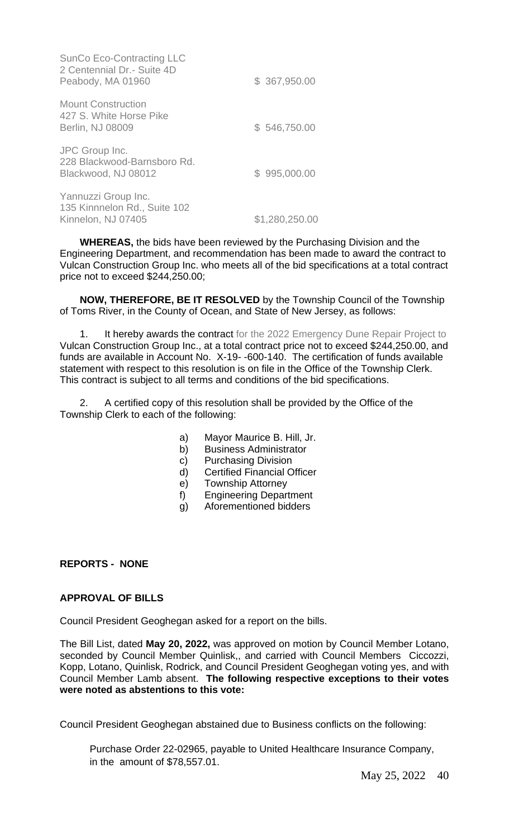| <b>SunCo Eco-Contracting LLC</b><br>2 Centennial Dr.- Suite 4D<br>Peabody, MA 01960 | \$ 367,950.00  |
|-------------------------------------------------------------------------------------|----------------|
| <b>Mount Construction</b><br>427 S. White Horse Pike<br>Berlin, NJ 08009            | \$546,750.00   |
| JPC Group Inc.<br>228 Blackwood-Barnsboro Rd.<br>Blackwood, NJ 08012                | \$995,000.00   |
| Yannuzzi Group Inc.<br>135 Kinnnelon Rd., Suite 102<br>Kinnelon, NJ 07405           | \$1,280,250.00 |

**WHEREAS,** the bids have been reviewed by the Purchasing Division and the Engineering Department, and recommendation has been made to award the contract to Vulcan Construction Group Inc. who meets all of the bid specifications at a total contract price not to exceed \$244,250.00;

**NOW, THEREFORE, BE IT RESOLVED** by the Township Council of the Township of Toms River, in the County of Ocean, and State of New Jersey, as follows:

1. It hereby awards the contract for the 2022 Emergency Dune Repair Project to Vulcan Construction Group Inc., at a total contract price not to exceed \$244,250.00, and funds are available in Account No. X-19- -600-140. The certification of funds available statement with respect to this resolution is on file in the Office of the Township Clerk. This contract is subject to all terms and conditions of the bid specifications.

2. A certified copy of this resolution shall be provided by the Office of the Township Clerk to each of the following:

- a) Mayor Maurice B. Hill, Jr.
- b) Business Administrator
- c) Purchasing Division
- d) Certified Financial Officer
- e) Township Attorney
- f) Engineering Department
- g) Aforementioned bidders

#### **REPORTS - NONE**

### **APPROVAL OF BILLS**

Council President Geoghegan asked for a report on the bills.

The Bill List, dated **May 20, 2022,** was approved on motion by Council Member Lotano, seconded by Council Member Quinlisk,, and carried with Council Members Ciccozzi, Kopp, Lotano, Quinlisk, Rodrick, and Council President Geoghegan voting yes, and with Council Member Lamb absent. **The following respective exceptions to their votes were noted as abstentions to this vote:**

Council President Geoghegan abstained due to Business conflicts on the following:

Purchase Order 22-02965, payable to United Healthcare Insurance Company, in the amount of \$78,557.01.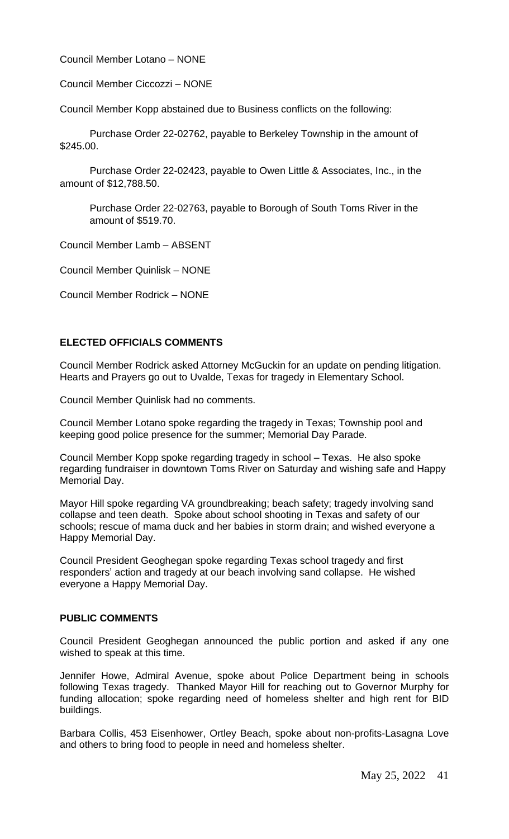Council Member Lotano – NONE

Council Member Ciccozzi – NONE

Council Member Kopp abstained due to Business conflicts on the following:

Purchase Order 22-02762, payable to Berkeley Township in the amount of \$245.00.

Purchase Order 22-02423, payable to Owen Little & Associates, Inc., in the amount of \$12,788.50.

Purchase Order 22-02763, payable to Borough of South Toms River in the amount of \$519.70.

Council Member Lamb – ABSENT

Council Member Quinlisk – NONE

Council Member Rodrick – NONE

### **ELECTED OFFICIALS COMMENTS**

Council Member Rodrick asked Attorney McGuckin for an update on pending litigation. Hearts and Prayers go out to Uvalde, Texas for tragedy in Elementary School.

Council Member Quinlisk had no comments.

Council Member Lotano spoke regarding the tragedy in Texas; Township pool and keeping good police presence for the summer; Memorial Day Parade.

Council Member Kopp spoke regarding tragedy in school – Texas. He also spoke regarding fundraiser in downtown Toms River on Saturday and wishing safe and Happy Memorial Day.

Mayor Hill spoke regarding VA groundbreaking; beach safety; tragedy involving sand collapse and teen death. Spoke about school shooting in Texas and safety of our schools; rescue of mama duck and her babies in storm drain; and wished everyone a Happy Memorial Day.

Council President Geoghegan spoke regarding Texas school tragedy and first responders' action and tragedy at our beach involving sand collapse. He wished everyone a Happy Memorial Day.

#### **PUBLIC COMMENTS**

Council President Geoghegan announced the public portion and asked if any one wished to speak at this time.

Jennifer Howe, Admiral Avenue, spoke about Police Department being in schools following Texas tragedy. Thanked Mayor Hill for reaching out to Governor Murphy for funding allocation; spoke regarding need of homeless shelter and high rent for BID buildings.

Barbara Collis, 453 Eisenhower, Ortley Beach, spoke about non-profits-Lasagna Love and others to bring food to people in need and homeless shelter.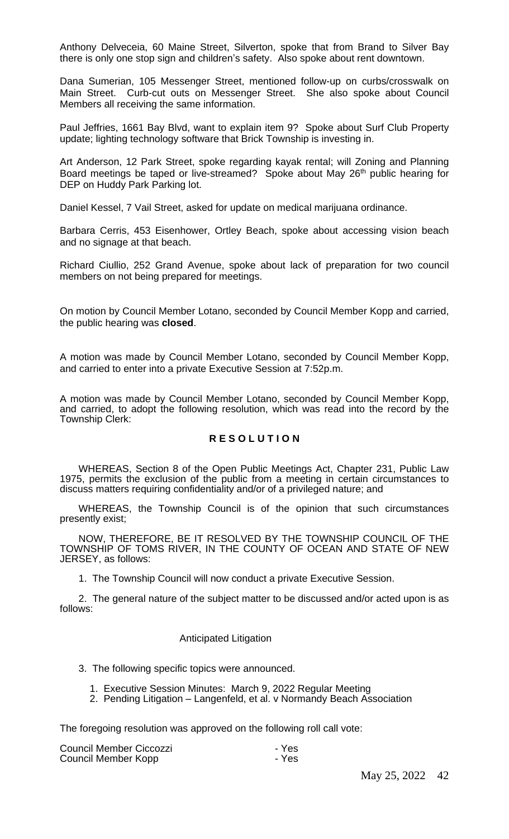Anthony Delveceia, 60 Maine Street, Silverton, spoke that from Brand to Silver Bay there is only one stop sign and children's safety. Also spoke about rent downtown.

Dana Sumerian, 105 Messenger Street, mentioned follow-up on curbs/crosswalk on Main Street. Curb-cut outs on Messenger Street. She also spoke about Council Members all receiving the same information.

Paul Jeffries, 1661 Bay Blvd, want to explain item 9? Spoke about Surf Club Property update; lighting technology software that Brick Township is investing in.

Art Anderson, 12 Park Street, spoke regarding kayak rental; will Zoning and Planning Board meetings be taped or live-streamed? Spoke about May 26<sup>th</sup> public hearing for DEP on Huddy Park Parking lot.

Daniel Kessel, 7 Vail Street, asked for update on medical marijuana ordinance.

Barbara Cerris, 453 Eisenhower, Ortley Beach, spoke about accessing vision beach and no signage at that beach.

Richard Ciullio, 252 Grand Avenue, spoke about lack of preparation for two council members on not being prepared for meetings.

On motion by Council Member Lotano, seconded by Council Member Kopp and carried, the public hearing was **closed**.

A motion was made by Council Member Lotano, seconded by Council Member Kopp, and carried to enter into a private Executive Session at 7:52p.m.

A motion was made by Council Member Lotano, seconded by Council Member Kopp, and carried, to adopt the following resolution, which was read into the record by the Township Clerk:

#### **R E S O L U T I O N**

WHEREAS, Section 8 of the Open Public Meetings Act, Chapter 231, Public Law 1975, permits the exclusion of the public from a meeting in certain circumstances to discuss matters requiring confidentiality and/or of a privileged nature; and

WHEREAS, the Township Council is of the opinion that such circumstances presently exist;

NOW, THEREFORE, BE IT RESOLVED BY THE TOWNSHIP COUNCIL OF THE TOWNSHIP OF TOMS RIVER, IN THE COUNTY OF OCEAN AND STATE OF NEW JERSEY, as follows:

1. The Township Council will now conduct a private Executive Session.

2. The general nature of the subject matter to be discussed and/or acted upon is as follows:

#### Anticipated Litigation

- 3. The following specific topics were announced.
	- 1. Executive Session Minutes: March 9, 2022 Regular Meeting
	- 2. Pending Litigation Langenfeld, et al. v Normandy Beach Association

The foregoing resolution was approved on the following roll call vote:

| Council Member Ciccozzi | - Yes |
|-------------------------|-------|
| Council Member Kopp     | - Yes |